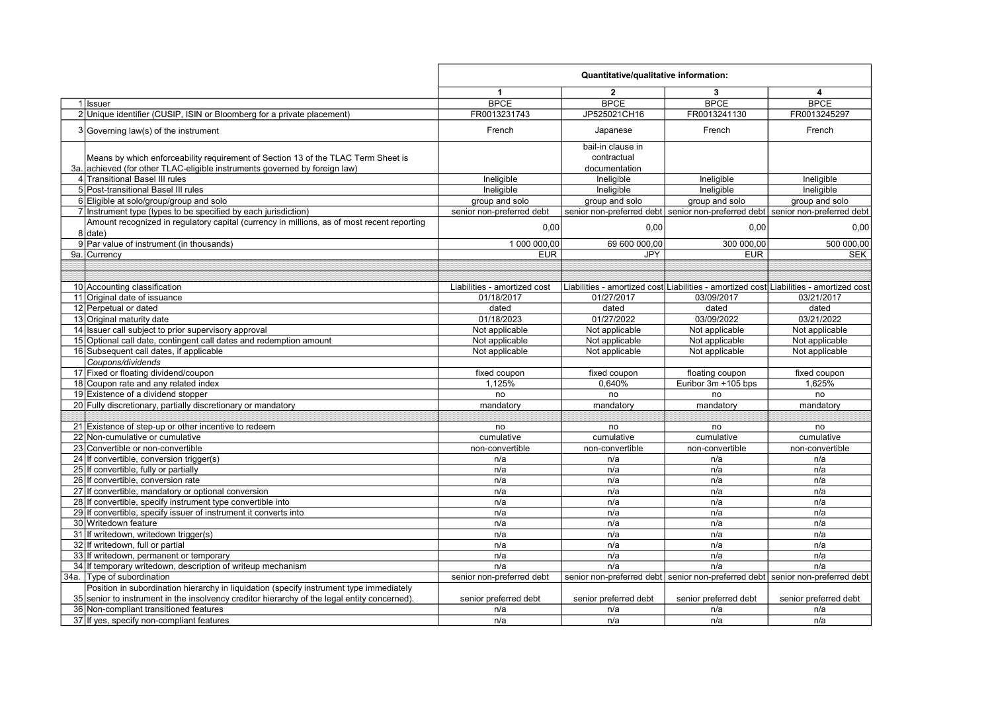|                                                                                                                                                                                         | Quantitative/qualitative information: |                                  |                       |                                                                                        |
|-----------------------------------------------------------------------------------------------------------------------------------------------------------------------------------------|---------------------------------------|----------------------------------|-----------------------|----------------------------------------------------------------------------------------|
|                                                                                                                                                                                         | $\blacktriangleleft$                  | $\overline{2}$                   | 3                     | 4                                                                                      |
| 1 Issuer                                                                                                                                                                                | <b>BPCE</b>                           | <b>BPCE</b>                      | <b>BPCE</b>           | <b>BPCE</b>                                                                            |
| 2 Unique identifier (CUSIP, ISIN or Bloomberg for a private placement)                                                                                                                  | FR0013231743                          | JP525021CH16                     | FR0013241130          | FR0013245297                                                                           |
| $3 Governing law(s)$ of the instrument                                                                                                                                                  | French                                | Japanese                         | French                | French                                                                                 |
| Means by which enforceability requirement of Section 13 of the TLAC Term Sheet is                                                                                                       |                                       | bail-in clause in<br>contractual |                       |                                                                                        |
| 3a. achieved (for other TLAC-eligible instruments governed by foreign law)                                                                                                              |                                       | documentation                    |                       |                                                                                        |
| 4 Transitional Basel III rules                                                                                                                                                          | Ineligible                            | Ineligible                       | Ineligible            | Ineligible                                                                             |
| 5 Post-transitional Basel III rules                                                                                                                                                     | Ineligible                            | Ineligible                       | Ineligible            | Ineligible                                                                             |
| 6 Eligible at solo/group/group and solo                                                                                                                                                 | group and solo                        | group and solo                   | group and solo        | group and solo                                                                         |
| 7 Instrument type (types to be specified by each jurisdiction)                                                                                                                          | senior non-preferred debt             |                                  |                       | senior non-preferred debt senior non-preferred debt senior non-preferred debt          |
| Amount recognized in regulatory capital (currency in millions, as of most recent reporting                                                                                              |                                       |                                  |                       |                                                                                        |
| 8 date)                                                                                                                                                                                 | 0,00                                  | 0,00                             | 0,00                  | 0,00                                                                                   |
| 9 Par value of instrument (in thousands)                                                                                                                                                | 1 000 000,00                          | 69 600 000,00                    | 300 000,00            | 500 000,00                                                                             |
| 9a. Currency                                                                                                                                                                            | <b>EUR</b>                            | <b>JPY</b>                       | <b>EUR</b>            | <b>SEK</b>                                                                             |
|                                                                                                                                                                                         |                                       |                                  |                       |                                                                                        |
|                                                                                                                                                                                         |                                       |                                  |                       |                                                                                        |
| 10 Accounting classification                                                                                                                                                            | Liabilities - amortized cost          |                                  |                       | Liabilities - amortized cost Liabilities - amortized cost Liabilities - amortized cost |
| 11 Original date of issuance                                                                                                                                                            | 01/18/2017                            | 01/27/2017                       | 03/09/2017            | 03/21/2017                                                                             |
| 12 Perpetual or dated                                                                                                                                                                   | dated                                 | dated                            | dated                 | dated                                                                                  |
| 13 Original maturity date                                                                                                                                                               | 01/18/2023                            | 01/27/2022                       | 03/09/2022            | 03/21/2022                                                                             |
| 14 Issuer call subject to prior supervisory approval                                                                                                                                    | Not applicable                        | Not applicable                   | Not applicable        | Not applicable                                                                         |
| 15 Optional call date, contingent call dates and redemption amount                                                                                                                      | Not applicable                        | Not applicable                   | Not applicable        | Not applicable                                                                         |
| 16 Subsequent call dates, if applicable                                                                                                                                                 | Not applicable                        | Not applicable                   | Not applicable        | Not applicable                                                                         |
| Coupons/dividends                                                                                                                                                                       |                                       |                                  |                       |                                                                                        |
| 17 Fixed or floating dividend/coupon                                                                                                                                                    | fixed coupon                          | fixed coupon                     | floating coupon       | fixed coupon                                                                           |
| 18 Coupon rate and any related index                                                                                                                                                    | 1,125%                                | 0,640%                           | Euribor 3m +105 bps   | 1.625%                                                                                 |
| 19 Existence of a dividend stopper                                                                                                                                                      | no                                    | no                               | no                    | no                                                                                     |
| 20 Fully discretionary, partially discretionary or mandatory                                                                                                                            | mandatory                             | mandatory                        | mandatory             | mandatory                                                                              |
|                                                                                                                                                                                         |                                       |                                  |                       |                                                                                        |
| 21 Existence of step-up or other incentive to redeem                                                                                                                                    | no                                    | no                               | no                    | no                                                                                     |
| 22 Non-cumulative or cumulative                                                                                                                                                         | cumulative                            | cumulative                       | cumulative            | cumulative                                                                             |
| 23 Convertible or non-convertible                                                                                                                                                       | non-convertible                       | non-convertible                  | non-convertible       | non-convertible                                                                        |
| 24 If convertible, conversion trigger(s)                                                                                                                                                | n/a                                   | n/a                              | n/a                   | n/a                                                                                    |
| 25 If convertible, fully or partially                                                                                                                                                   | n/a                                   | n/a                              | n/a                   | n/a                                                                                    |
| 26 If convertible, conversion rate                                                                                                                                                      | n/a                                   | n/a                              | n/a                   | n/a                                                                                    |
| 27 If convertible, mandatory or optional conversion                                                                                                                                     | n/a                                   | n/a                              | n/a                   | n/a                                                                                    |
| 28 If convertible, specify instrument type convertible into                                                                                                                             | n/a                                   | n/a                              | n/a                   | n/a                                                                                    |
| 29 If convertible, specify issuer of instrument it converts into                                                                                                                        | n/a                                   | n/a                              | n/a                   | n/a                                                                                    |
| 30 Writedown feature                                                                                                                                                                    | n/a                                   | n/a                              | n/a                   | n/a                                                                                    |
| 31 If writedown, writedown trigger(s)                                                                                                                                                   | n/a                                   | n/a                              | n/a                   | n/a                                                                                    |
| 32 If writedown, full or partial                                                                                                                                                        | n/a                                   | n/a                              | n/a                   | n/a                                                                                    |
| 33 If writedown, permanent or temporary                                                                                                                                                 | n/a                                   | n/a                              | n/a                   | n/a                                                                                    |
| 34 If temporary writedown, description of writeup mechanism                                                                                                                             | n/a                                   | n/a                              | n/a                   | n/a                                                                                    |
| 34a. Type of subordination                                                                                                                                                              | senior non-preferred debt             |                                  |                       | senior non-preferred debt senior non-preferred debt senior non-preferred debt          |
| Position in subordination hierarchy in liquidation (specify instrument type immediately<br>35 senior to instrument in the insolvency creditor hierarchy of the legal entity concerned). | senior preferred debt                 | senior preferred debt            | senior preferred debt | senior preferred debt                                                                  |
| 36 Non-compliant transitioned features                                                                                                                                                  | n/a                                   | n/a                              | n/a                   | n/a                                                                                    |
| 37 If yes, specify non-compliant features                                                                                                                                               | n/a                                   | n/a                              | n/a                   | n/a                                                                                    |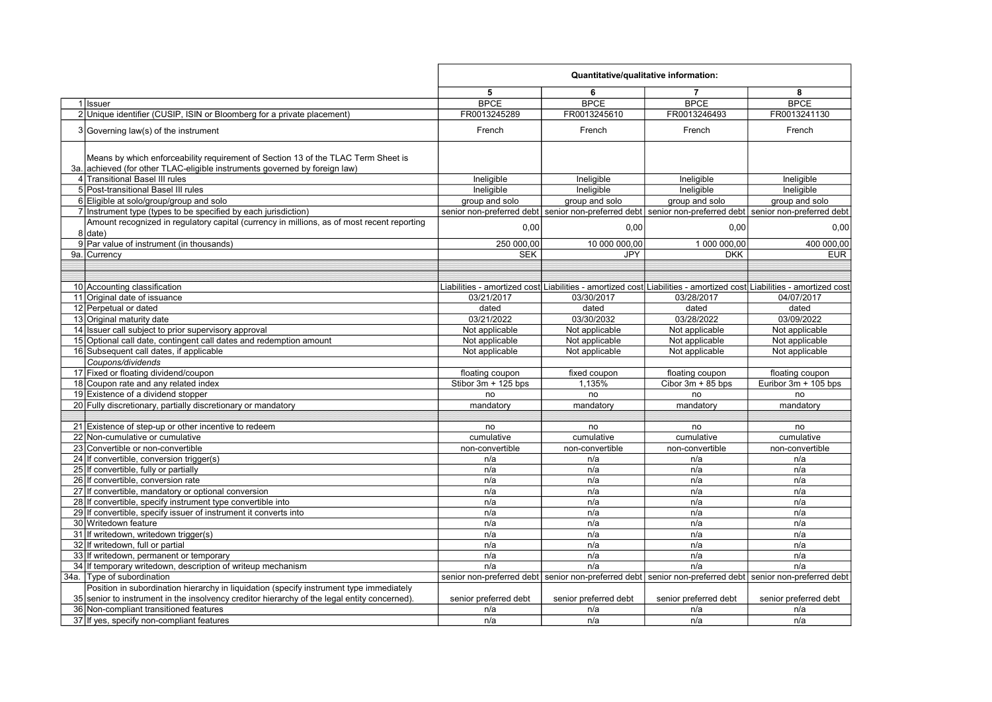| 5<br>6<br>7<br>8<br><b>BPCE</b><br><b>BPCE</b><br><b>BPCE</b><br><b>BPCE</b><br>1 Issuer<br>2 Unique identifier (CUSIP, ISIN or Bloomberg for a private placement)<br>FR0013245289<br>FR0013245610<br>FR0013246493<br>FR0013241130<br>$3 Governing law(s)$ of the instrument<br>French<br>French<br>French<br>French<br>Means by which enforceability requirement of Section 13 of the TLAC Term Sheet is<br>3a. achieved (for other TLAC-eligible instruments governed by foreign law)<br>4 Transitional Basel III rules<br>Ineligible<br>Ineligible<br>Ineligible<br>Ineligible<br>5 Post-transitional Basel III rules<br>Ineligible<br>Ineligible<br>Ineligible<br>Ineligible<br>6 Eligible at solo/group/group and solo<br>group and solo<br>group and solo<br>group and solo<br>group and solo<br>7 Instrument type (types to be specified by each jurisdiction)<br>senior non-preferred debt senior non-preferred debt senior non-preferred debt senior non-preferred debt<br>Amount recognized in regulatory capital (currency in millions, as of most recent reporting<br>0,00<br>0,00<br>0,00<br>8 date)<br>9 Par value of instrument (in thousands)<br>250 000,00<br>10 000 000,00<br>1 000 000,00<br>400 000,00<br>9a. Currency<br><b>SEK</b><br><b>JPY</b><br><b>DKK</b><br><b>EUR</b><br>10 Accounting classification<br>Liabilities - amortized cost Liabilities - amortized cost Liabilities - amortized cost Liabilities - amortized cost<br>11 Original date of issuance<br>03/28/2017<br>04/07/2017<br>03/21/2017<br>03/30/2017<br>12 Perpetual or dated<br>dated<br>dated<br>dated<br>dated<br>13 Original maturity date<br>03/21/2022<br>03/30/2032<br>03/28/2022<br>03/09/2022<br>14 Issuer call subject to prior supervisory approval<br>Not applicable<br>Not applicable<br>Not applicable<br>Not applicable<br>15 Optional call date, contingent call dates and redemption amount<br>Not applicable<br>Not applicable<br>Not applicable<br>Not applicable<br>16 Subsequent call dates, if applicable<br>Not applicable<br>Not applicable<br>Not applicable<br>Not applicable<br>Coupons/dividends<br>17 Fixed or floating dividend/coupon<br>floating coupon<br>fixed coupon<br>floating coupon<br>floating coupon<br>18 Coupon rate and any related index<br>1,135%<br>Stibor 3m + 125 bps<br>Cibor $3m + 85$ bps<br>Euribor 3m + 105 bps<br>19 Existence of a dividend stopper<br>no<br>no<br>no<br>no<br>20 Fully discretionary, partially discretionary or mandatory<br>mandatory<br>mandatory<br>mandatory<br>mandatory<br>21 Existence of step-up or other incentive to redeem<br>no<br>no<br>no<br>no<br>22 Non-cumulative or cumulative<br>cumulative<br>cumulative<br>cumulative<br>cumulative<br>23 Convertible or non-convertible<br>non-convertible<br>non-convertible<br>non-convertible<br>non-convertible<br>24 If convertible, conversion trigger(s)<br>n/a<br>n/a<br>n/a<br>n/a<br>25 If convertible, fully or partially<br>n/a<br>n/a<br>n/a<br>n/a<br>26 If convertible, conversion rate<br>n/a<br>n/a<br>n/a<br>n/a<br>27 If convertible, mandatory or optional conversion<br>n/a<br>n/a<br>n/a<br>n/a<br>28 If convertible, specify instrument type convertible into<br>n/a<br>n/a<br>n/a<br>n/a<br>29 If convertible, specify issuer of instrument it converts into<br>n/a<br>n/a<br>n/a<br>n/a<br>30 Writedown feature<br>n/a<br>n/a<br>n/a<br>n/a<br>31 If writedown, writedown trigger(s)<br>n/a<br>n/a<br>n/a<br>n/a<br>32 If writedown, full or partial<br>n/a<br>n/a<br>n/a<br>n/a<br>33 If writedown, permanent or temporary<br>n/a<br>n/a<br>n/a<br>n/a<br>34 If temporary writedown, description of writeup mechanism<br>n/a<br>n/a<br>n/a<br>n/a<br>34a. Type of subordination<br>senior non-preferred debt senior non-preferred debt senior non-preferred debt senior non-preferred debt<br>Position in subordination hierarchy in liquidation (specify instrument type immediately<br>35 senior to instrument in the insolvency creditor hierarchy of the legal entity concerned).<br>senior preferred debt<br>senior preferred debt<br>senior preferred debt<br>senior preferred debt<br>36 Non-compliant transitioned features<br>n/a<br>n/a<br>n/a<br>n/a<br>37 If yes, specify non-compliant features<br>n/a<br>n/a<br>n/a<br>n/a |  | Quantitative/qualitative information: |  |  |      |
|-------------------------------------------------------------------------------------------------------------------------------------------------------------------------------------------------------------------------------------------------------------------------------------------------------------------------------------------------------------------------------------------------------------------------------------------------------------------------------------------------------------------------------------------------------------------------------------------------------------------------------------------------------------------------------------------------------------------------------------------------------------------------------------------------------------------------------------------------------------------------------------------------------------------------------------------------------------------------------------------------------------------------------------------------------------------------------------------------------------------------------------------------------------------------------------------------------------------------------------------------------------------------------------------------------------------------------------------------------------------------------------------------------------------------------------------------------------------------------------------------------------------------------------------------------------------------------------------------------------------------------------------------------------------------------------------------------------------------------------------------------------------------------------------------------------------------------------------------------------------------------------------------------------------------------------------------------------------------------------------------------------------------------------------------------------------------------------------------------------------------------------------------------------------------------------------------------------------------------------------------------------------------------------------------------------------------------------------------------------------------------------------------------------------------------------------------------------------------------------------------------------------------------------------------------------------------------------------------------------------------------------------------------------------------------------------------------------------------------------------------------------------------------------------------------------------------------------------------------------------------------------------------------------------------------------------------------------------------------------------------------------------------------------------------------------------------------------------------------------------------------------------------------------------------------------------------------------------------------------------------------------------------------------------------------------------------------------------------------------------------------------------------------------------------------------------------------------------------------------------------------------------------------------------------------------------------------------------------------------------------------------------------------------------------------------------------------------------------------------------------------------------------------------------------------------------------------------------------------------------------------------------------------------------------------------------------------------------------------------------------------------------------------------------------------------------------------------------------------------------------------------------------------------------------------------------------------------------------------------------------------------------------------------------------|--|---------------------------------------|--|--|------|
|                                                                                                                                                                                                                                                                                                                                                                                                                                                                                                                                                                                                                                                                                                                                                                                                                                                                                                                                                                                                                                                                                                                                                                                                                                                                                                                                                                                                                                                                                                                                                                                                                                                                                                                                                                                                                                                                                                                                                                                                                                                                                                                                                                                                                                                                                                                                                                                                                                                                                                                                                                                                                                                                                                                                                                                                                                                                                                                                                                                                                                                                                                                                                                                                                                                                                                                                                                                                                                                                                                                                                                                                                                                                                                                                                                                                                                                                                                                                                                                                                                                                                                                                                                                                                                                                                                 |  |                                       |  |  |      |
|                                                                                                                                                                                                                                                                                                                                                                                                                                                                                                                                                                                                                                                                                                                                                                                                                                                                                                                                                                                                                                                                                                                                                                                                                                                                                                                                                                                                                                                                                                                                                                                                                                                                                                                                                                                                                                                                                                                                                                                                                                                                                                                                                                                                                                                                                                                                                                                                                                                                                                                                                                                                                                                                                                                                                                                                                                                                                                                                                                                                                                                                                                                                                                                                                                                                                                                                                                                                                                                                                                                                                                                                                                                                                                                                                                                                                                                                                                                                                                                                                                                                                                                                                                                                                                                                                                 |  |                                       |  |  |      |
|                                                                                                                                                                                                                                                                                                                                                                                                                                                                                                                                                                                                                                                                                                                                                                                                                                                                                                                                                                                                                                                                                                                                                                                                                                                                                                                                                                                                                                                                                                                                                                                                                                                                                                                                                                                                                                                                                                                                                                                                                                                                                                                                                                                                                                                                                                                                                                                                                                                                                                                                                                                                                                                                                                                                                                                                                                                                                                                                                                                                                                                                                                                                                                                                                                                                                                                                                                                                                                                                                                                                                                                                                                                                                                                                                                                                                                                                                                                                                                                                                                                                                                                                                                                                                                                                                                 |  |                                       |  |  |      |
|                                                                                                                                                                                                                                                                                                                                                                                                                                                                                                                                                                                                                                                                                                                                                                                                                                                                                                                                                                                                                                                                                                                                                                                                                                                                                                                                                                                                                                                                                                                                                                                                                                                                                                                                                                                                                                                                                                                                                                                                                                                                                                                                                                                                                                                                                                                                                                                                                                                                                                                                                                                                                                                                                                                                                                                                                                                                                                                                                                                                                                                                                                                                                                                                                                                                                                                                                                                                                                                                                                                                                                                                                                                                                                                                                                                                                                                                                                                                                                                                                                                                                                                                                                                                                                                                                                 |  |                                       |  |  |      |
|                                                                                                                                                                                                                                                                                                                                                                                                                                                                                                                                                                                                                                                                                                                                                                                                                                                                                                                                                                                                                                                                                                                                                                                                                                                                                                                                                                                                                                                                                                                                                                                                                                                                                                                                                                                                                                                                                                                                                                                                                                                                                                                                                                                                                                                                                                                                                                                                                                                                                                                                                                                                                                                                                                                                                                                                                                                                                                                                                                                                                                                                                                                                                                                                                                                                                                                                                                                                                                                                                                                                                                                                                                                                                                                                                                                                                                                                                                                                                                                                                                                                                                                                                                                                                                                                                                 |  |                                       |  |  |      |
|                                                                                                                                                                                                                                                                                                                                                                                                                                                                                                                                                                                                                                                                                                                                                                                                                                                                                                                                                                                                                                                                                                                                                                                                                                                                                                                                                                                                                                                                                                                                                                                                                                                                                                                                                                                                                                                                                                                                                                                                                                                                                                                                                                                                                                                                                                                                                                                                                                                                                                                                                                                                                                                                                                                                                                                                                                                                                                                                                                                                                                                                                                                                                                                                                                                                                                                                                                                                                                                                                                                                                                                                                                                                                                                                                                                                                                                                                                                                                                                                                                                                                                                                                                                                                                                                                                 |  |                                       |  |  |      |
|                                                                                                                                                                                                                                                                                                                                                                                                                                                                                                                                                                                                                                                                                                                                                                                                                                                                                                                                                                                                                                                                                                                                                                                                                                                                                                                                                                                                                                                                                                                                                                                                                                                                                                                                                                                                                                                                                                                                                                                                                                                                                                                                                                                                                                                                                                                                                                                                                                                                                                                                                                                                                                                                                                                                                                                                                                                                                                                                                                                                                                                                                                                                                                                                                                                                                                                                                                                                                                                                                                                                                                                                                                                                                                                                                                                                                                                                                                                                                                                                                                                                                                                                                                                                                                                                                                 |  |                                       |  |  |      |
|                                                                                                                                                                                                                                                                                                                                                                                                                                                                                                                                                                                                                                                                                                                                                                                                                                                                                                                                                                                                                                                                                                                                                                                                                                                                                                                                                                                                                                                                                                                                                                                                                                                                                                                                                                                                                                                                                                                                                                                                                                                                                                                                                                                                                                                                                                                                                                                                                                                                                                                                                                                                                                                                                                                                                                                                                                                                                                                                                                                                                                                                                                                                                                                                                                                                                                                                                                                                                                                                                                                                                                                                                                                                                                                                                                                                                                                                                                                                                                                                                                                                                                                                                                                                                                                                                                 |  |                                       |  |  |      |
|                                                                                                                                                                                                                                                                                                                                                                                                                                                                                                                                                                                                                                                                                                                                                                                                                                                                                                                                                                                                                                                                                                                                                                                                                                                                                                                                                                                                                                                                                                                                                                                                                                                                                                                                                                                                                                                                                                                                                                                                                                                                                                                                                                                                                                                                                                                                                                                                                                                                                                                                                                                                                                                                                                                                                                                                                                                                                                                                                                                                                                                                                                                                                                                                                                                                                                                                                                                                                                                                                                                                                                                                                                                                                                                                                                                                                                                                                                                                                                                                                                                                                                                                                                                                                                                                                                 |  |                                       |  |  |      |
|                                                                                                                                                                                                                                                                                                                                                                                                                                                                                                                                                                                                                                                                                                                                                                                                                                                                                                                                                                                                                                                                                                                                                                                                                                                                                                                                                                                                                                                                                                                                                                                                                                                                                                                                                                                                                                                                                                                                                                                                                                                                                                                                                                                                                                                                                                                                                                                                                                                                                                                                                                                                                                                                                                                                                                                                                                                                                                                                                                                                                                                                                                                                                                                                                                                                                                                                                                                                                                                                                                                                                                                                                                                                                                                                                                                                                                                                                                                                                                                                                                                                                                                                                                                                                                                                                                 |  |                                       |  |  |      |
|                                                                                                                                                                                                                                                                                                                                                                                                                                                                                                                                                                                                                                                                                                                                                                                                                                                                                                                                                                                                                                                                                                                                                                                                                                                                                                                                                                                                                                                                                                                                                                                                                                                                                                                                                                                                                                                                                                                                                                                                                                                                                                                                                                                                                                                                                                                                                                                                                                                                                                                                                                                                                                                                                                                                                                                                                                                                                                                                                                                                                                                                                                                                                                                                                                                                                                                                                                                                                                                                                                                                                                                                                                                                                                                                                                                                                                                                                                                                                                                                                                                                                                                                                                                                                                                                                                 |  |                                       |  |  |      |
|                                                                                                                                                                                                                                                                                                                                                                                                                                                                                                                                                                                                                                                                                                                                                                                                                                                                                                                                                                                                                                                                                                                                                                                                                                                                                                                                                                                                                                                                                                                                                                                                                                                                                                                                                                                                                                                                                                                                                                                                                                                                                                                                                                                                                                                                                                                                                                                                                                                                                                                                                                                                                                                                                                                                                                                                                                                                                                                                                                                                                                                                                                                                                                                                                                                                                                                                                                                                                                                                                                                                                                                                                                                                                                                                                                                                                                                                                                                                                                                                                                                                                                                                                                                                                                                                                                 |  |                                       |  |  | 0,00 |
|                                                                                                                                                                                                                                                                                                                                                                                                                                                                                                                                                                                                                                                                                                                                                                                                                                                                                                                                                                                                                                                                                                                                                                                                                                                                                                                                                                                                                                                                                                                                                                                                                                                                                                                                                                                                                                                                                                                                                                                                                                                                                                                                                                                                                                                                                                                                                                                                                                                                                                                                                                                                                                                                                                                                                                                                                                                                                                                                                                                                                                                                                                                                                                                                                                                                                                                                                                                                                                                                                                                                                                                                                                                                                                                                                                                                                                                                                                                                                                                                                                                                                                                                                                                                                                                                                                 |  |                                       |  |  |      |
|                                                                                                                                                                                                                                                                                                                                                                                                                                                                                                                                                                                                                                                                                                                                                                                                                                                                                                                                                                                                                                                                                                                                                                                                                                                                                                                                                                                                                                                                                                                                                                                                                                                                                                                                                                                                                                                                                                                                                                                                                                                                                                                                                                                                                                                                                                                                                                                                                                                                                                                                                                                                                                                                                                                                                                                                                                                                                                                                                                                                                                                                                                                                                                                                                                                                                                                                                                                                                                                                                                                                                                                                                                                                                                                                                                                                                                                                                                                                                                                                                                                                                                                                                                                                                                                                                                 |  |                                       |  |  |      |
|                                                                                                                                                                                                                                                                                                                                                                                                                                                                                                                                                                                                                                                                                                                                                                                                                                                                                                                                                                                                                                                                                                                                                                                                                                                                                                                                                                                                                                                                                                                                                                                                                                                                                                                                                                                                                                                                                                                                                                                                                                                                                                                                                                                                                                                                                                                                                                                                                                                                                                                                                                                                                                                                                                                                                                                                                                                                                                                                                                                                                                                                                                                                                                                                                                                                                                                                                                                                                                                                                                                                                                                                                                                                                                                                                                                                                                                                                                                                                                                                                                                                                                                                                                                                                                                                                                 |  |                                       |  |  |      |
|                                                                                                                                                                                                                                                                                                                                                                                                                                                                                                                                                                                                                                                                                                                                                                                                                                                                                                                                                                                                                                                                                                                                                                                                                                                                                                                                                                                                                                                                                                                                                                                                                                                                                                                                                                                                                                                                                                                                                                                                                                                                                                                                                                                                                                                                                                                                                                                                                                                                                                                                                                                                                                                                                                                                                                                                                                                                                                                                                                                                                                                                                                                                                                                                                                                                                                                                                                                                                                                                                                                                                                                                                                                                                                                                                                                                                                                                                                                                                                                                                                                                                                                                                                                                                                                                                                 |  |                                       |  |  |      |
|                                                                                                                                                                                                                                                                                                                                                                                                                                                                                                                                                                                                                                                                                                                                                                                                                                                                                                                                                                                                                                                                                                                                                                                                                                                                                                                                                                                                                                                                                                                                                                                                                                                                                                                                                                                                                                                                                                                                                                                                                                                                                                                                                                                                                                                                                                                                                                                                                                                                                                                                                                                                                                                                                                                                                                                                                                                                                                                                                                                                                                                                                                                                                                                                                                                                                                                                                                                                                                                                                                                                                                                                                                                                                                                                                                                                                                                                                                                                                                                                                                                                                                                                                                                                                                                                                                 |  |                                       |  |  |      |
|                                                                                                                                                                                                                                                                                                                                                                                                                                                                                                                                                                                                                                                                                                                                                                                                                                                                                                                                                                                                                                                                                                                                                                                                                                                                                                                                                                                                                                                                                                                                                                                                                                                                                                                                                                                                                                                                                                                                                                                                                                                                                                                                                                                                                                                                                                                                                                                                                                                                                                                                                                                                                                                                                                                                                                                                                                                                                                                                                                                                                                                                                                                                                                                                                                                                                                                                                                                                                                                                                                                                                                                                                                                                                                                                                                                                                                                                                                                                                                                                                                                                                                                                                                                                                                                                                                 |  |                                       |  |  |      |
|                                                                                                                                                                                                                                                                                                                                                                                                                                                                                                                                                                                                                                                                                                                                                                                                                                                                                                                                                                                                                                                                                                                                                                                                                                                                                                                                                                                                                                                                                                                                                                                                                                                                                                                                                                                                                                                                                                                                                                                                                                                                                                                                                                                                                                                                                                                                                                                                                                                                                                                                                                                                                                                                                                                                                                                                                                                                                                                                                                                                                                                                                                                                                                                                                                                                                                                                                                                                                                                                                                                                                                                                                                                                                                                                                                                                                                                                                                                                                                                                                                                                                                                                                                                                                                                                                                 |  |                                       |  |  |      |
|                                                                                                                                                                                                                                                                                                                                                                                                                                                                                                                                                                                                                                                                                                                                                                                                                                                                                                                                                                                                                                                                                                                                                                                                                                                                                                                                                                                                                                                                                                                                                                                                                                                                                                                                                                                                                                                                                                                                                                                                                                                                                                                                                                                                                                                                                                                                                                                                                                                                                                                                                                                                                                                                                                                                                                                                                                                                                                                                                                                                                                                                                                                                                                                                                                                                                                                                                                                                                                                                                                                                                                                                                                                                                                                                                                                                                                                                                                                                                                                                                                                                                                                                                                                                                                                                                                 |  |                                       |  |  |      |
|                                                                                                                                                                                                                                                                                                                                                                                                                                                                                                                                                                                                                                                                                                                                                                                                                                                                                                                                                                                                                                                                                                                                                                                                                                                                                                                                                                                                                                                                                                                                                                                                                                                                                                                                                                                                                                                                                                                                                                                                                                                                                                                                                                                                                                                                                                                                                                                                                                                                                                                                                                                                                                                                                                                                                                                                                                                                                                                                                                                                                                                                                                                                                                                                                                                                                                                                                                                                                                                                                                                                                                                                                                                                                                                                                                                                                                                                                                                                                                                                                                                                                                                                                                                                                                                                                                 |  |                                       |  |  |      |
|                                                                                                                                                                                                                                                                                                                                                                                                                                                                                                                                                                                                                                                                                                                                                                                                                                                                                                                                                                                                                                                                                                                                                                                                                                                                                                                                                                                                                                                                                                                                                                                                                                                                                                                                                                                                                                                                                                                                                                                                                                                                                                                                                                                                                                                                                                                                                                                                                                                                                                                                                                                                                                                                                                                                                                                                                                                                                                                                                                                                                                                                                                                                                                                                                                                                                                                                                                                                                                                                                                                                                                                                                                                                                                                                                                                                                                                                                                                                                                                                                                                                                                                                                                                                                                                                                                 |  |                                       |  |  |      |
|                                                                                                                                                                                                                                                                                                                                                                                                                                                                                                                                                                                                                                                                                                                                                                                                                                                                                                                                                                                                                                                                                                                                                                                                                                                                                                                                                                                                                                                                                                                                                                                                                                                                                                                                                                                                                                                                                                                                                                                                                                                                                                                                                                                                                                                                                                                                                                                                                                                                                                                                                                                                                                                                                                                                                                                                                                                                                                                                                                                                                                                                                                                                                                                                                                                                                                                                                                                                                                                                                                                                                                                                                                                                                                                                                                                                                                                                                                                                                                                                                                                                                                                                                                                                                                                                                                 |  |                                       |  |  |      |
|                                                                                                                                                                                                                                                                                                                                                                                                                                                                                                                                                                                                                                                                                                                                                                                                                                                                                                                                                                                                                                                                                                                                                                                                                                                                                                                                                                                                                                                                                                                                                                                                                                                                                                                                                                                                                                                                                                                                                                                                                                                                                                                                                                                                                                                                                                                                                                                                                                                                                                                                                                                                                                                                                                                                                                                                                                                                                                                                                                                                                                                                                                                                                                                                                                                                                                                                                                                                                                                                                                                                                                                                                                                                                                                                                                                                                                                                                                                                                                                                                                                                                                                                                                                                                                                                                                 |  |                                       |  |  |      |
|                                                                                                                                                                                                                                                                                                                                                                                                                                                                                                                                                                                                                                                                                                                                                                                                                                                                                                                                                                                                                                                                                                                                                                                                                                                                                                                                                                                                                                                                                                                                                                                                                                                                                                                                                                                                                                                                                                                                                                                                                                                                                                                                                                                                                                                                                                                                                                                                                                                                                                                                                                                                                                                                                                                                                                                                                                                                                                                                                                                                                                                                                                                                                                                                                                                                                                                                                                                                                                                                                                                                                                                                                                                                                                                                                                                                                                                                                                                                                                                                                                                                                                                                                                                                                                                                                                 |  |                                       |  |  |      |
|                                                                                                                                                                                                                                                                                                                                                                                                                                                                                                                                                                                                                                                                                                                                                                                                                                                                                                                                                                                                                                                                                                                                                                                                                                                                                                                                                                                                                                                                                                                                                                                                                                                                                                                                                                                                                                                                                                                                                                                                                                                                                                                                                                                                                                                                                                                                                                                                                                                                                                                                                                                                                                                                                                                                                                                                                                                                                                                                                                                                                                                                                                                                                                                                                                                                                                                                                                                                                                                                                                                                                                                                                                                                                                                                                                                                                                                                                                                                                                                                                                                                                                                                                                                                                                                                                                 |  |                                       |  |  |      |
|                                                                                                                                                                                                                                                                                                                                                                                                                                                                                                                                                                                                                                                                                                                                                                                                                                                                                                                                                                                                                                                                                                                                                                                                                                                                                                                                                                                                                                                                                                                                                                                                                                                                                                                                                                                                                                                                                                                                                                                                                                                                                                                                                                                                                                                                                                                                                                                                                                                                                                                                                                                                                                                                                                                                                                                                                                                                                                                                                                                                                                                                                                                                                                                                                                                                                                                                                                                                                                                                                                                                                                                                                                                                                                                                                                                                                                                                                                                                                                                                                                                                                                                                                                                                                                                                                                 |  |                                       |  |  |      |
|                                                                                                                                                                                                                                                                                                                                                                                                                                                                                                                                                                                                                                                                                                                                                                                                                                                                                                                                                                                                                                                                                                                                                                                                                                                                                                                                                                                                                                                                                                                                                                                                                                                                                                                                                                                                                                                                                                                                                                                                                                                                                                                                                                                                                                                                                                                                                                                                                                                                                                                                                                                                                                                                                                                                                                                                                                                                                                                                                                                                                                                                                                                                                                                                                                                                                                                                                                                                                                                                                                                                                                                                                                                                                                                                                                                                                                                                                                                                                                                                                                                                                                                                                                                                                                                                                                 |  |                                       |  |  |      |
|                                                                                                                                                                                                                                                                                                                                                                                                                                                                                                                                                                                                                                                                                                                                                                                                                                                                                                                                                                                                                                                                                                                                                                                                                                                                                                                                                                                                                                                                                                                                                                                                                                                                                                                                                                                                                                                                                                                                                                                                                                                                                                                                                                                                                                                                                                                                                                                                                                                                                                                                                                                                                                                                                                                                                                                                                                                                                                                                                                                                                                                                                                                                                                                                                                                                                                                                                                                                                                                                                                                                                                                                                                                                                                                                                                                                                                                                                                                                                                                                                                                                                                                                                                                                                                                                                                 |  |                                       |  |  |      |
|                                                                                                                                                                                                                                                                                                                                                                                                                                                                                                                                                                                                                                                                                                                                                                                                                                                                                                                                                                                                                                                                                                                                                                                                                                                                                                                                                                                                                                                                                                                                                                                                                                                                                                                                                                                                                                                                                                                                                                                                                                                                                                                                                                                                                                                                                                                                                                                                                                                                                                                                                                                                                                                                                                                                                                                                                                                                                                                                                                                                                                                                                                                                                                                                                                                                                                                                                                                                                                                                                                                                                                                                                                                                                                                                                                                                                                                                                                                                                                                                                                                                                                                                                                                                                                                                                                 |  |                                       |  |  |      |
|                                                                                                                                                                                                                                                                                                                                                                                                                                                                                                                                                                                                                                                                                                                                                                                                                                                                                                                                                                                                                                                                                                                                                                                                                                                                                                                                                                                                                                                                                                                                                                                                                                                                                                                                                                                                                                                                                                                                                                                                                                                                                                                                                                                                                                                                                                                                                                                                                                                                                                                                                                                                                                                                                                                                                                                                                                                                                                                                                                                                                                                                                                                                                                                                                                                                                                                                                                                                                                                                                                                                                                                                                                                                                                                                                                                                                                                                                                                                                                                                                                                                                                                                                                                                                                                                                                 |  |                                       |  |  |      |
|                                                                                                                                                                                                                                                                                                                                                                                                                                                                                                                                                                                                                                                                                                                                                                                                                                                                                                                                                                                                                                                                                                                                                                                                                                                                                                                                                                                                                                                                                                                                                                                                                                                                                                                                                                                                                                                                                                                                                                                                                                                                                                                                                                                                                                                                                                                                                                                                                                                                                                                                                                                                                                                                                                                                                                                                                                                                                                                                                                                                                                                                                                                                                                                                                                                                                                                                                                                                                                                                                                                                                                                                                                                                                                                                                                                                                                                                                                                                                                                                                                                                                                                                                                                                                                                                                                 |  |                                       |  |  |      |
|                                                                                                                                                                                                                                                                                                                                                                                                                                                                                                                                                                                                                                                                                                                                                                                                                                                                                                                                                                                                                                                                                                                                                                                                                                                                                                                                                                                                                                                                                                                                                                                                                                                                                                                                                                                                                                                                                                                                                                                                                                                                                                                                                                                                                                                                                                                                                                                                                                                                                                                                                                                                                                                                                                                                                                                                                                                                                                                                                                                                                                                                                                                                                                                                                                                                                                                                                                                                                                                                                                                                                                                                                                                                                                                                                                                                                                                                                                                                                                                                                                                                                                                                                                                                                                                                                                 |  |                                       |  |  |      |
|                                                                                                                                                                                                                                                                                                                                                                                                                                                                                                                                                                                                                                                                                                                                                                                                                                                                                                                                                                                                                                                                                                                                                                                                                                                                                                                                                                                                                                                                                                                                                                                                                                                                                                                                                                                                                                                                                                                                                                                                                                                                                                                                                                                                                                                                                                                                                                                                                                                                                                                                                                                                                                                                                                                                                                                                                                                                                                                                                                                                                                                                                                                                                                                                                                                                                                                                                                                                                                                                                                                                                                                                                                                                                                                                                                                                                                                                                                                                                                                                                                                                                                                                                                                                                                                                                                 |  |                                       |  |  |      |
|                                                                                                                                                                                                                                                                                                                                                                                                                                                                                                                                                                                                                                                                                                                                                                                                                                                                                                                                                                                                                                                                                                                                                                                                                                                                                                                                                                                                                                                                                                                                                                                                                                                                                                                                                                                                                                                                                                                                                                                                                                                                                                                                                                                                                                                                                                                                                                                                                                                                                                                                                                                                                                                                                                                                                                                                                                                                                                                                                                                                                                                                                                                                                                                                                                                                                                                                                                                                                                                                                                                                                                                                                                                                                                                                                                                                                                                                                                                                                                                                                                                                                                                                                                                                                                                                                                 |  |                                       |  |  |      |
|                                                                                                                                                                                                                                                                                                                                                                                                                                                                                                                                                                                                                                                                                                                                                                                                                                                                                                                                                                                                                                                                                                                                                                                                                                                                                                                                                                                                                                                                                                                                                                                                                                                                                                                                                                                                                                                                                                                                                                                                                                                                                                                                                                                                                                                                                                                                                                                                                                                                                                                                                                                                                                                                                                                                                                                                                                                                                                                                                                                                                                                                                                                                                                                                                                                                                                                                                                                                                                                                                                                                                                                                                                                                                                                                                                                                                                                                                                                                                                                                                                                                                                                                                                                                                                                                                                 |  |                                       |  |  |      |
|                                                                                                                                                                                                                                                                                                                                                                                                                                                                                                                                                                                                                                                                                                                                                                                                                                                                                                                                                                                                                                                                                                                                                                                                                                                                                                                                                                                                                                                                                                                                                                                                                                                                                                                                                                                                                                                                                                                                                                                                                                                                                                                                                                                                                                                                                                                                                                                                                                                                                                                                                                                                                                                                                                                                                                                                                                                                                                                                                                                                                                                                                                                                                                                                                                                                                                                                                                                                                                                                                                                                                                                                                                                                                                                                                                                                                                                                                                                                                                                                                                                                                                                                                                                                                                                                                                 |  |                                       |  |  |      |
|                                                                                                                                                                                                                                                                                                                                                                                                                                                                                                                                                                                                                                                                                                                                                                                                                                                                                                                                                                                                                                                                                                                                                                                                                                                                                                                                                                                                                                                                                                                                                                                                                                                                                                                                                                                                                                                                                                                                                                                                                                                                                                                                                                                                                                                                                                                                                                                                                                                                                                                                                                                                                                                                                                                                                                                                                                                                                                                                                                                                                                                                                                                                                                                                                                                                                                                                                                                                                                                                                                                                                                                                                                                                                                                                                                                                                                                                                                                                                                                                                                                                                                                                                                                                                                                                                                 |  |                                       |  |  |      |
|                                                                                                                                                                                                                                                                                                                                                                                                                                                                                                                                                                                                                                                                                                                                                                                                                                                                                                                                                                                                                                                                                                                                                                                                                                                                                                                                                                                                                                                                                                                                                                                                                                                                                                                                                                                                                                                                                                                                                                                                                                                                                                                                                                                                                                                                                                                                                                                                                                                                                                                                                                                                                                                                                                                                                                                                                                                                                                                                                                                                                                                                                                                                                                                                                                                                                                                                                                                                                                                                                                                                                                                                                                                                                                                                                                                                                                                                                                                                                                                                                                                                                                                                                                                                                                                                                                 |  |                                       |  |  |      |
|                                                                                                                                                                                                                                                                                                                                                                                                                                                                                                                                                                                                                                                                                                                                                                                                                                                                                                                                                                                                                                                                                                                                                                                                                                                                                                                                                                                                                                                                                                                                                                                                                                                                                                                                                                                                                                                                                                                                                                                                                                                                                                                                                                                                                                                                                                                                                                                                                                                                                                                                                                                                                                                                                                                                                                                                                                                                                                                                                                                                                                                                                                                                                                                                                                                                                                                                                                                                                                                                                                                                                                                                                                                                                                                                                                                                                                                                                                                                                                                                                                                                                                                                                                                                                                                                                                 |  |                                       |  |  |      |
|                                                                                                                                                                                                                                                                                                                                                                                                                                                                                                                                                                                                                                                                                                                                                                                                                                                                                                                                                                                                                                                                                                                                                                                                                                                                                                                                                                                                                                                                                                                                                                                                                                                                                                                                                                                                                                                                                                                                                                                                                                                                                                                                                                                                                                                                                                                                                                                                                                                                                                                                                                                                                                                                                                                                                                                                                                                                                                                                                                                                                                                                                                                                                                                                                                                                                                                                                                                                                                                                                                                                                                                                                                                                                                                                                                                                                                                                                                                                                                                                                                                                                                                                                                                                                                                                                                 |  |                                       |  |  |      |
|                                                                                                                                                                                                                                                                                                                                                                                                                                                                                                                                                                                                                                                                                                                                                                                                                                                                                                                                                                                                                                                                                                                                                                                                                                                                                                                                                                                                                                                                                                                                                                                                                                                                                                                                                                                                                                                                                                                                                                                                                                                                                                                                                                                                                                                                                                                                                                                                                                                                                                                                                                                                                                                                                                                                                                                                                                                                                                                                                                                                                                                                                                                                                                                                                                                                                                                                                                                                                                                                                                                                                                                                                                                                                                                                                                                                                                                                                                                                                                                                                                                                                                                                                                                                                                                                                                 |  |                                       |  |  |      |
|                                                                                                                                                                                                                                                                                                                                                                                                                                                                                                                                                                                                                                                                                                                                                                                                                                                                                                                                                                                                                                                                                                                                                                                                                                                                                                                                                                                                                                                                                                                                                                                                                                                                                                                                                                                                                                                                                                                                                                                                                                                                                                                                                                                                                                                                                                                                                                                                                                                                                                                                                                                                                                                                                                                                                                                                                                                                                                                                                                                                                                                                                                                                                                                                                                                                                                                                                                                                                                                                                                                                                                                                                                                                                                                                                                                                                                                                                                                                                                                                                                                                                                                                                                                                                                                                                                 |  |                                       |  |  |      |
|                                                                                                                                                                                                                                                                                                                                                                                                                                                                                                                                                                                                                                                                                                                                                                                                                                                                                                                                                                                                                                                                                                                                                                                                                                                                                                                                                                                                                                                                                                                                                                                                                                                                                                                                                                                                                                                                                                                                                                                                                                                                                                                                                                                                                                                                                                                                                                                                                                                                                                                                                                                                                                                                                                                                                                                                                                                                                                                                                                                                                                                                                                                                                                                                                                                                                                                                                                                                                                                                                                                                                                                                                                                                                                                                                                                                                                                                                                                                                                                                                                                                                                                                                                                                                                                                                                 |  |                                       |  |  |      |
|                                                                                                                                                                                                                                                                                                                                                                                                                                                                                                                                                                                                                                                                                                                                                                                                                                                                                                                                                                                                                                                                                                                                                                                                                                                                                                                                                                                                                                                                                                                                                                                                                                                                                                                                                                                                                                                                                                                                                                                                                                                                                                                                                                                                                                                                                                                                                                                                                                                                                                                                                                                                                                                                                                                                                                                                                                                                                                                                                                                                                                                                                                                                                                                                                                                                                                                                                                                                                                                                                                                                                                                                                                                                                                                                                                                                                                                                                                                                                                                                                                                                                                                                                                                                                                                                                                 |  |                                       |  |  |      |
|                                                                                                                                                                                                                                                                                                                                                                                                                                                                                                                                                                                                                                                                                                                                                                                                                                                                                                                                                                                                                                                                                                                                                                                                                                                                                                                                                                                                                                                                                                                                                                                                                                                                                                                                                                                                                                                                                                                                                                                                                                                                                                                                                                                                                                                                                                                                                                                                                                                                                                                                                                                                                                                                                                                                                                                                                                                                                                                                                                                                                                                                                                                                                                                                                                                                                                                                                                                                                                                                                                                                                                                                                                                                                                                                                                                                                                                                                                                                                                                                                                                                                                                                                                                                                                                                                                 |  |                                       |  |  |      |
|                                                                                                                                                                                                                                                                                                                                                                                                                                                                                                                                                                                                                                                                                                                                                                                                                                                                                                                                                                                                                                                                                                                                                                                                                                                                                                                                                                                                                                                                                                                                                                                                                                                                                                                                                                                                                                                                                                                                                                                                                                                                                                                                                                                                                                                                                                                                                                                                                                                                                                                                                                                                                                                                                                                                                                                                                                                                                                                                                                                                                                                                                                                                                                                                                                                                                                                                                                                                                                                                                                                                                                                                                                                                                                                                                                                                                                                                                                                                                                                                                                                                                                                                                                                                                                                                                                 |  |                                       |  |  |      |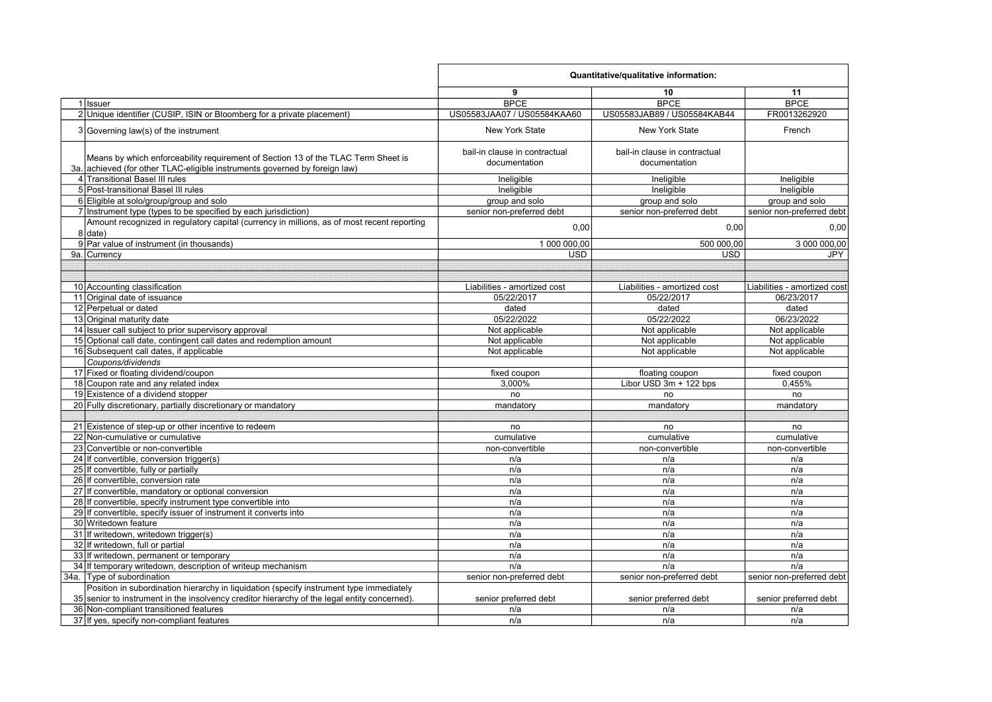|                                                                                                                                                                 | Quantitative/qualitative information:          |                                                |                              |  |
|-----------------------------------------------------------------------------------------------------------------------------------------------------------------|------------------------------------------------|------------------------------------------------|------------------------------|--|
|                                                                                                                                                                 | 9                                              | 10                                             | 11                           |  |
| 1 Issuer                                                                                                                                                        | <b>BPCE</b>                                    | <b>BPCE</b>                                    | <b>BPCE</b>                  |  |
| 2 Unique identifier (CUSIP, ISIN or Bloomberg for a private placement)                                                                                          | US05583JAA07 / US05584KAA60                    | US05583JAB89 / US05584KAB44                    | FR0013262920                 |  |
| 3 Governing law(s) of the instrument                                                                                                                            | <b>New York State</b>                          | <b>New York State</b>                          | French                       |  |
| Means by which enforceability requirement of Section 13 of the TLAC Term Sheet is<br>3a. achieved (for other TLAC-eligible instruments governed by foreign law) | bail-in clause in contractual<br>documentation | bail-in clause in contractual<br>documentation |                              |  |
| 4 Transitional Basel III rules                                                                                                                                  | Ineligible                                     | Ineligible                                     | Ineligible                   |  |
| 5 Post-transitional Basel III rules                                                                                                                             | Ineligible                                     | Ineligible                                     | Ineligible                   |  |
| 6 Eligible at solo/group/group and solo                                                                                                                         | group and solo                                 | group and solo                                 | group and solo               |  |
| 7 Instrument type (types to be specified by each jurisdiction)                                                                                                  | senior non-preferred debt                      | senior non-preferred debt                      | senior non-preferred debt    |  |
| Amount recognized in regulatory capital (currency in millions, as of most recent reporting<br>$8$ date)                                                         | 0,00                                           | 0,00                                           | 0,00                         |  |
| 9 Par value of instrument (in thousands)                                                                                                                        | 1 000 000,00                                   | 500 000,00                                     | 3 000 000,00                 |  |
| 9a. Currency                                                                                                                                                    | <b>USD</b>                                     | <b>USD</b>                                     | <b>JPY</b>                   |  |
|                                                                                                                                                                 |                                                |                                                |                              |  |
|                                                                                                                                                                 |                                                |                                                |                              |  |
| 10 Accounting classification                                                                                                                                    | Liabilities - amortized cost                   | Liabilities - amortized cost                   | Liabilities - amortized cost |  |
| 11 Original date of issuance                                                                                                                                    | 05/22/2017                                     | 05/22/2017                                     | 06/23/2017                   |  |
| 12 Perpetual or dated                                                                                                                                           | dated                                          | dated                                          | dated                        |  |
| 13 Original maturity date                                                                                                                                       | 05/22/2022                                     | 05/22/2022                                     | 06/23/2022                   |  |
| 14 Issuer call subject to prior supervisory approval                                                                                                            | Not applicable                                 | Not applicable                                 | Not applicable               |  |
| 15 Optional call date, contingent call dates and redemption amount                                                                                              | Not applicable                                 | Not applicable                                 | Not applicable               |  |
| 16 Subsequent call dates, if applicable                                                                                                                         | Not applicable                                 | Not applicable                                 | Not applicable               |  |
| Coupons/dividends                                                                                                                                               |                                                |                                                |                              |  |
| 17 Fixed or floating dividend/coupon                                                                                                                            | fixed coupon                                   | floating coupon                                | fixed coupon                 |  |
| 18 Coupon rate and any related index                                                                                                                            | 3.000%                                         | Libor USD 3m + 122 bps                         | 0,455%                       |  |
| 19 Existence of a dividend stopper                                                                                                                              | no                                             | no                                             | no                           |  |
| 20 Fully discretionary, partially discretionary or mandatory                                                                                                    | mandatory                                      | mandatory                                      | mandatory                    |  |
|                                                                                                                                                                 |                                                |                                                |                              |  |
| 21 Existence of step-up or other incentive to redeem                                                                                                            | no                                             | no                                             | no                           |  |
| 22 Non-cumulative or cumulative                                                                                                                                 | cumulative                                     | cumulative                                     | cumulative                   |  |
| 23 Convertible or non-convertible                                                                                                                               | non-convertible                                | non-convertible                                | non-convertible              |  |
| 24 If convertible, conversion trigger(s)                                                                                                                        | n/a                                            | n/a                                            | n/a                          |  |
| 25 If convertible, fully or partially                                                                                                                           | n/a                                            | n/a                                            | n/a                          |  |
| 26 If convertible, conversion rate                                                                                                                              | n/a                                            | n/a                                            | n/a                          |  |
| 27 If convertible, mandatory or optional conversion                                                                                                             | n/a                                            | n/a                                            | n/a                          |  |
| 28 If convertible, specify instrument type convertible into                                                                                                     | n/a                                            | n/a                                            | n/a                          |  |
| 29 If convertible, specify issuer of instrument it converts into                                                                                                | n/a                                            | n/a                                            | n/a                          |  |
| 30 Writedown feature                                                                                                                                            | n/a                                            | n/a                                            | n/a                          |  |
| 31 If writedown, writedown trigger(s)                                                                                                                           | n/a                                            | n/a                                            | n/a                          |  |
| 32 If writedown, full or partial                                                                                                                                | n/a                                            | n/a                                            | n/a                          |  |
| 33 If writedown, permanent or temporary                                                                                                                         | n/a                                            | n/a                                            | n/a                          |  |
| 34 If temporary writedown, description of writeup mechanism                                                                                                     | n/a                                            | n/a                                            | n/a                          |  |
| 34a. Type of subordination                                                                                                                                      | senior non-preferred debt                      | senior non-preferred debt                      | senior non-preferred debt    |  |
| Position in subordination hierarchy in liquidation (specify instrument type immediately                                                                         |                                                |                                                |                              |  |
| 35 senior to instrument in the insolvency creditor hierarchy of the legal entity concerned).                                                                    | senior preferred debt                          | senior preferred debt                          | senior preferred debt        |  |
| 36 Non-compliant transitioned features                                                                                                                          | n/a                                            | n/a                                            | n/a                          |  |
| 37 If yes, specify non-compliant features                                                                                                                       | n/a                                            | n/a                                            | n/a                          |  |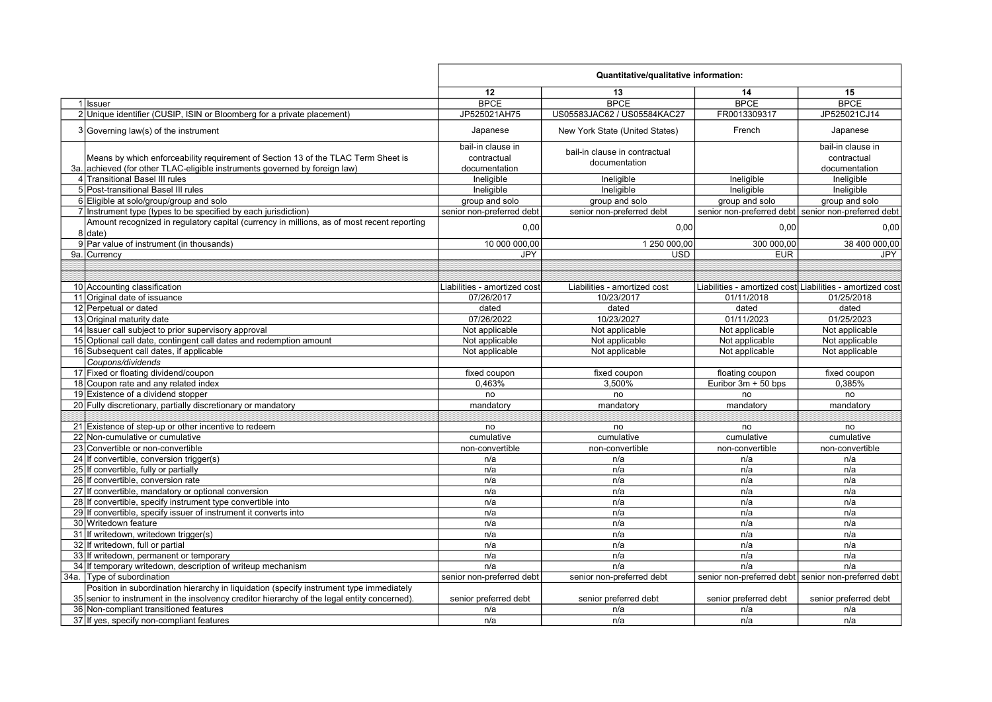|                                                                                              | Quantitative/qualitative information: |                                |                       |                                                           |
|----------------------------------------------------------------------------------------------|---------------------------------------|--------------------------------|-----------------------|-----------------------------------------------------------|
|                                                                                              | 12                                    | 13                             | 14                    | 15                                                        |
| 1 Issuer                                                                                     | <b>BPCE</b>                           | <b>BPCE</b>                    | <b>BPCE</b>           | <b>BPCE</b>                                               |
| 2 Unique identifier (CUSIP, ISIN or Bloomberg for a private placement)                       | JP525021AH75                          | US05583JAC62 / US05584KAC27    | FR0013309317          | JP525021CJ14                                              |
| $3 Governing law(s)$ of the instrument                                                       | Japanese                              | New York State (United States) | French                | Japanese                                                  |
|                                                                                              | bail-in clause in                     |                                |                       | bail-in clause in                                         |
| Means by which enforceability requirement of Section 13 of the TLAC Term Sheet is            | contractual                           | bail-in clause in contractual  |                       | contractual                                               |
| 3a. achieved (for other TLAC-eligible instruments governed by foreign law)                   | documentation                         | documentation                  |                       | documentation                                             |
| 4 Transitional Basel III rules                                                               | Ineligible                            | Ineligible                     | Ineligible            | Ineligible                                                |
| 5 Post-transitional Basel III rules                                                          | Ineligible                            | Ineligible                     | Ineligible            | Ineligible                                                |
| 6 Eligible at solo/group/group and solo                                                      | group and solo                        | group and solo                 | group and solo        | group and solo                                            |
| 7 Instrument type (types to be specified by each jurisdiction)                               | senior non-preferred debt             | senior non-preferred debt      |                       | senior non-preferred debt senior non-preferred debt       |
| Amount recognized in regulatory capital (currency in millions, as of most recent reporting   |                                       |                                |                       |                                                           |
| 8   date                                                                                     | 0,00                                  | 0,00                           | 0,00                  | 0,00                                                      |
| 9 Par value of instrument (in thousands)                                                     | 10 000 000,00                         | 1 250 000.00                   | 300 000.00            | 38 400 000,00                                             |
| 9a. Currency                                                                                 | <b>JPY</b>                            | <b>USD</b>                     | <b>EUR</b>            | <b>JPY</b>                                                |
|                                                                                              |                                       |                                |                       |                                                           |
|                                                                                              |                                       |                                |                       |                                                           |
| 10 Accounting classification                                                                 | Liabilities - amortized cost          | Liabilities - amortized cost   |                       | Liabilities - amortized cost Liabilities - amortized cost |
| 11 Original date of issuance                                                                 | 07/26/2017                            | 10/23/2017                     | 01/11/2018            | 01/25/2018                                                |
| 12 Perpetual or dated                                                                        | dated                                 | dated                          | dated                 | dated                                                     |
| 13 Original maturity date                                                                    | 07/26/2022                            | 10/23/2027                     | 01/11/2023            | 01/25/2023                                                |
| 14 Issuer call subject to prior supervisory approval                                         | Not applicable                        | Not applicable                 | Not applicable        | Not applicable                                            |
| 15 Optional call date, contingent call dates and redemption amount                           | Not applicable                        | Not applicable                 | Not applicable        | Not applicable                                            |
| 16 Subsequent call dates, if applicable                                                      | Not applicable                        | Not applicable                 | Not applicable        | Not applicable                                            |
| Coupons/dividends                                                                            |                                       |                                |                       |                                                           |
| 17 Fixed or floating dividend/coupon                                                         | fixed coupon                          | fixed coupon                   | floating coupon       | fixed coupon                                              |
| 18 Coupon rate and any related index                                                         | 0,463%                                | 3,500%                         | Euribor 3m + 50 bps   | 0,385%                                                    |
| 19 Existence of a dividend stopper                                                           | no                                    | no                             | no                    | no                                                        |
| 20 Fully discretionary, partially discretionary or mandatory                                 | mandatory                             | mandatory                      | mandatory             | mandatory                                                 |
|                                                                                              |                                       |                                |                       |                                                           |
| 21 Existence of step-up or other incentive to redeem                                         | no                                    | no                             | no                    | no                                                        |
| 22 Non-cumulative or cumulative                                                              | cumulative                            | cumulative                     | cumulative            | cumulative                                                |
| 23 Convertible or non-convertible                                                            | non-convertible                       | non-convertible                | non-convertible       | non-convertible                                           |
| 24 If convertible, conversion trigger(s)                                                     | n/a                                   | n/a                            | n/a                   | n/a                                                       |
| 25 If convertible, fully or partially                                                        | n/a                                   | n/a                            | n/a                   | n/a                                                       |
| 26 If convertible, conversion rate                                                           | n/a                                   | n/a                            | n/a                   | n/a                                                       |
| 27 If convertible, mandatory or optional conversion                                          | n/a                                   | n/a                            | n/a                   | n/a                                                       |
| 28 If convertible, specify instrument type convertible into                                  | n/a                                   | n/a                            | n/a                   | n/a                                                       |
| 29 If convertible, specify issuer of instrument it converts into                             | n/a                                   | n/a                            | n/a                   | n/a                                                       |
| 30 Writedown feature                                                                         | n/a                                   | n/a                            | n/a                   | n/a                                                       |
| 31 If writedown, writedown trigger(s)                                                        | n/a                                   | n/a                            | n/a                   | n/a                                                       |
| 32 If writedown, full or partial                                                             | n/a                                   | n/a                            | n/a                   | n/a                                                       |
| 33 If writedown, permanent or temporary                                                      | n/a                                   | n/a                            | n/a                   | n/a                                                       |
| 34 If temporary writedown, description of writeup mechanism                                  | n/a                                   | n/a                            | n/a                   | n/a                                                       |
| 34a. Type of subordination                                                                   | senior non-preferred debt             | senior non-preferred debt      |                       | senior non-preferred debt senior non-preferred debt       |
| Position in subordination hierarchy in liquidation (specify instrument type immediately      |                                       |                                |                       |                                                           |
| 35 senior to instrument in the insolvency creditor hierarchy of the legal entity concerned). | senior preferred debt                 | senior preferred debt          | senior preferred debt | senior preferred debt                                     |
| 36 Non-compliant transitioned features                                                       | n/a                                   | n/a                            | n/a                   | n/a                                                       |
| 37 If yes, specify non-compliant features                                                    | n/a                                   | n/a                            | n/a                   | n/a                                                       |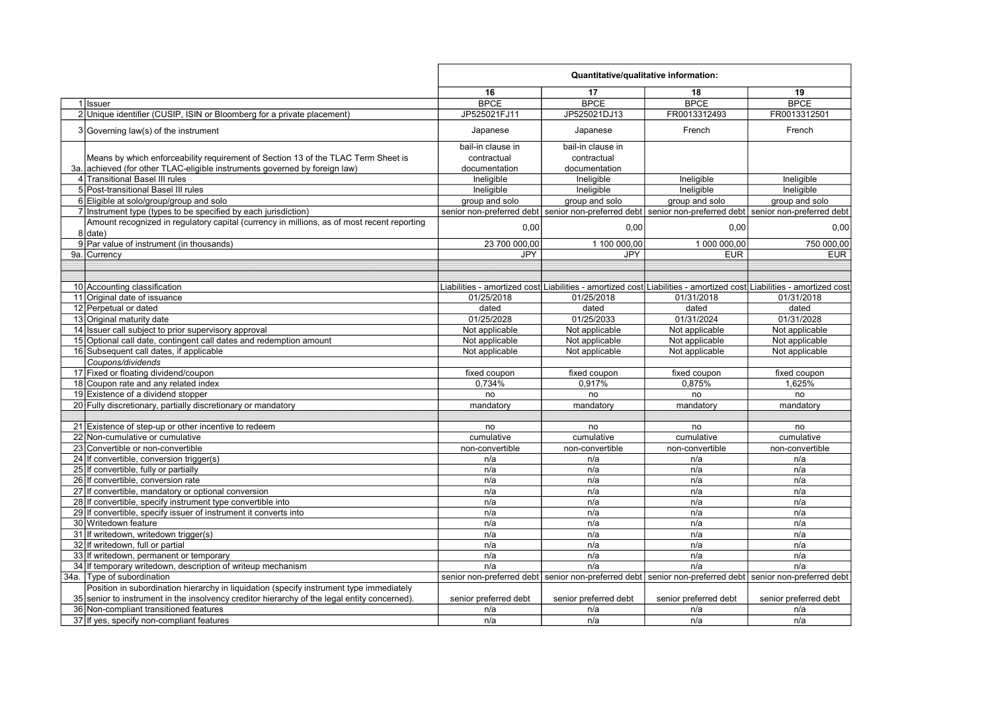|                                                                                              | Quantitative/qualitative information: |                       |                                                                                                         |                                                                                                                     |
|----------------------------------------------------------------------------------------------|---------------------------------------|-----------------------|---------------------------------------------------------------------------------------------------------|---------------------------------------------------------------------------------------------------------------------|
|                                                                                              | 16                                    | 17                    | 18                                                                                                      | 19                                                                                                                  |
| 1 Issuer                                                                                     | <b>BPCE</b>                           | <b>BPCE</b>           | <b>BPCE</b>                                                                                             | <b>BPCE</b>                                                                                                         |
| 2 Unique identifier (CUSIP, ISIN or Bloomberg for a private placement)                       | JP525021FJ11                          | JP525021DJ13          | FR0013312493                                                                                            | FR0013312501                                                                                                        |
| $3 Governing law(s)$ of the instrument                                                       | Japanese                              | Japanese              | French                                                                                                  | French                                                                                                              |
|                                                                                              | bail-in clause in                     | bail-in clause in     |                                                                                                         |                                                                                                                     |
| Means by which enforceability requirement of Section 13 of the TLAC Term Sheet is            | contractual                           | contractual           |                                                                                                         |                                                                                                                     |
| 3a. achieved (for other TLAC-eligible instruments governed by foreign law)                   | documentation                         | documentation         |                                                                                                         |                                                                                                                     |
| 4 Transitional Basel III rules                                                               | Ineligible                            | Ineligible            | Ineligible                                                                                              | Ineligible                                                                                                          |
| 5 Post-transitional Basel III rules                                                          | Ineligible                            | Ineligible            | Ineligible                                                                                              | Ineligible                                                                                                          |
| 6 Eligible at solo/group/group and solo                                                      | group and solo                        | group and solo        | group and solo                                                                                          | group and solo                                                                                                      |
| 7 Instrument type (types to be specified by each jurisdiction)                               |                                       |                       | senior non-preferred debt senior non-preferred debt senior non-preferred debt senior non-preferred debt |                                                                                                                     |
| Amount recognized in regulatory capital (currency in millions, as of most recent reporting   |                                       |                       |                                                                                                         |                                                                                                                     |
| 8 date)                                                                                      | 0,00                                  | 0,00                  | 0,00                                                                                                    | 0,00                                                                                                                |
| 9 Par value of instrument (in thousands)                                                     | 23 700 000,00                         | 1 100 000,00          | 1 000 000,00                                                                                            | 750 000,00                                                                                                          |
| 9a. Currency                                                                                 | <b>JPY</b>                            | <b>JPY</b>            | <b>EUR</b>                                                                                              | <b>EUR</b>                                                                                                          |
|                                                                                              |                                       |                       |                                                                                                         |                                                                                                                     |
|                                                                                              |                                       |                       |                                                                                                         |                                                                                                                     |
| 10 Accounting classification                                                                 |                                       |                       |                                                                                                         | Liabilities - amortized cost Liabilities - amortized cost Liabilities - amortized cost Liabilities - amortized cost |
| 11 Original date of issuance                                                                 | 01/25/2018                            | 01/25/2018            | 01/31/2018                                                                                              | 01/31/2018                                                                                                          |
| 12 Perpetual or dated                                                                        | dated                                 | dated                 | dated                                                                                                   | dated                                                                                                               |
| 13 Original maturity date                                                                    | 01/25/2028                            | 01/25/2033            | 01/31/2024                                                                                              | 01/31/2028                                                                                                          |
| 14 Issuer call subject to prior supervisory approval                                         | Not applicable                        | Not applicable        | Not applicable                                                                                          | Not applicable                                                                                                      |
| 15 Optional call date, contingent call dates and redemption amount                           | Not applicable                        | Not applicable        | Not applicable                                                                                          | Not applicable                                                                                                      |
| 16 Subsequent call dates, if applicable                                                      | Not applicable                        | Not applicable        | Not applicable                                                                                          | Not applicable                                                                                                      |
| Coupons/dividends                                                                            |                                       |                       |                                                                                                         |                                                                                                                     |
| 17 Fixed or floating dividend/coupon                                                         | fixed coupon                          | fixed coupon          | fixed coupon                                                                                            | fixed coupon                                                                                                        |
| 18 Coupon rate and any related index                                                         | 0,734%                                | 0,917%                | 0,875%                                                                                                  | 1,625%                                                                                                              |
| 19 Existence of a dividend stopper                                                           | no                                    | no                    | no                                                                                                      | no                                                                                                                  |
| 20 Fully discretionary, partially discretionary or mandatory                                 | mandatory                             | mandatory             | mandatory                                                                                               | mandatory                                                                                                           |
|                                                                                              |                                       |                       |                                                                                                         |                                                                                                                     |
| 21 Existence of step-up or other incentive to redeem                                         | no                                    | no                    | no                                                                                                      | no                                                                                                                  |
| 22 Non-cumulative or cumulative                                                              | cumulative                            | cumulative            | cumulative                                                                                              | cumulative                                                                                                          |
| 23 Convertible or non-convertible                                                            | non-convertible                       | non-convertible       | non-convertible                                                                                         | non-convertible                                                                                                     |
| 24 If convertible, conversion trigger(s)                                                     | n/a                                   | n/a                   | n/a                                                                                                     | n/a                                                                                                                 |
| 25 If convertible, fully or partially                                                        | n/a                                   | n/a                   | n/a                                                                                                     | n/a                                                                                                                 |
| 26 If convertible, conversion rate                                                           | n/a                                   | n/a                   | n/a                                                                                                     | n/a                                                                                                                 |
| 27 If convertible, mandatory or optional conversion                                          | n/a                                   | n/a                   | n/a                                                                                                     | n/a                                                                                                                 |
| 28 If convertible, specify instrument type convertible into                                  | n/a                                   | n/a                   | n/a                                                                                                     | n/a                                                                                                                 |
| 29 If convertible, specify issuer of instrument it converts into                             | n/a                                   | n/a                   | n/a                                                                                                     | n/a                                                                                                                 |
| 30 Writedown feature                                                                         | n/a                                   | n/a                   | n/a                                                                                                     | n/a                                                                                                                 |
| 31 If writedown, writedown trigger(s)                                                        | n/a                                   | n/a                   | n/a                                                                                                     | n/a                                                                                                                 |
| 32 If writedown, full or partial                                                             | n/a                                   | n/a                   | n/a                                                                                                     | n/a                                                                                                                 |
| 33 If writedown, permanent or temporary                                                      | n/a                                   | n/a                   | n/a                                                                                                     | n/a                                                                                                                 |
| 34 If temporary writedown, description of writeup mechanism                                  | n/a                                   | n/a                   | n/a                                                                                                     | n/a                                                                                                                 |
| 34a. Type of subordination                                                                   |                                       |                       | senior non-preferred debt senior non-preferred debt senior non-preferred debt senior non-preferred debt |                                                                                                                     |
| Position in subordination hierarchy in liquidation (specify instrument type immediately      |                                       |                       |                                                                                                         |                                                                                                                     |
| 35 senior to instrument in the insolvency creditor hierarchy of the legal entity concerned). | senior preferred debt                 | senior preferred debt | senior preferred debt                                                                                   | senior preferred debt                                                                                               |
| 36 Non-compliant transitioned features                                                       | n/a                                   | n/a                   | n/a                                                                                                     | n/a                                                                                                                 |
| 37 If yes, specify non-compliant features                                                    | n/a                                   | n/a                   | n/a                                                                                                     | n/a                                                                                                                 |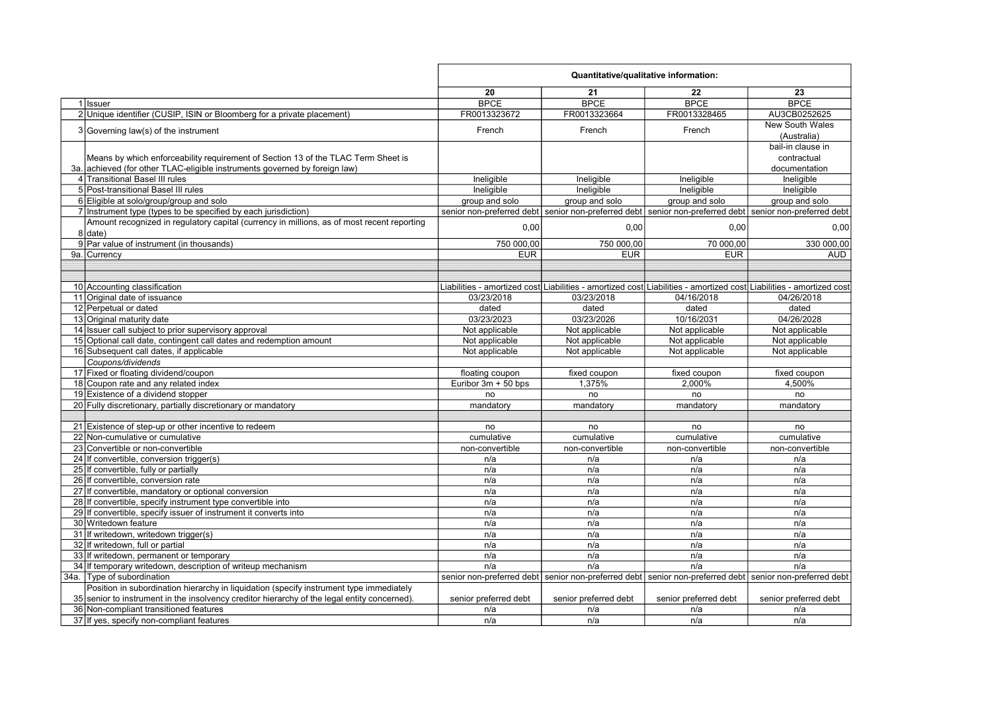| 20<br>21<br>22<br>23<br><b>BPCE</b><br><b>BPCE</b><br><b>BPCE</b><br><b>BPCE</b><br>1 Issuer<br>FR0013323672<br>FR0013323664<br>FR0013328465<br>2 Unique identifier (CUSIP, ISIN or Bloomberg for a private placement)<br>3 Governing law(s) of the instrument<br>French<br>French<br>French<br>(Australia)<br>Means by which enforceability requirement of Section 13 of the TLAC Term Sheet is<br>contractual<br>3a. achieved (for other TLAC-eligible instruments governed by foreign law)<br>documentation<br>4 Transitional Basel III rules<br>Ineligible<br>Ineligible<br>Ineligible<br>Ineligible<br>5 Post-transitional Basel III rules<br>Ineligible<br>Ineligible<br>Ineligible<br>Ineligible<br>6 Eligible at solo/group/group and solo<br>group and solo<br>group and solo<br>group and solo<br>7 Instrument type (types to be specified by each jurisdiction)<br>senior non-preferred debt senior non-preferred debt senior non-preferred debt senior non-preferred debt<br>Amount recognized in regulatory capital (currency in millions, as of most recent reporting<br>0,00<br>0,00<br>0,00<br>$8$ date)<br>9 Par value of instrument (in thousands)<br>750 000,00<br>750 000.00<br>70 000,00<br>9a. Currency<br><b>EUR</b><br><b>EUR</b><br><b>EUR</b><br>10 Accounting classification<br>Liabilities - amortized cost Liabilities - amortized cost Liabilities - amortized cost Liabilities - amortized cost<br>11 Original date of issuance<br>03/23/2018<br>03/23/2018<br>04/16/2018<br>04/26/2018<br>12 Perpetual or dated<br>dated<br>dated<br>dated<br>dated<br>13 Original maturity date<br>03/23/2023<br>03/23/2026<br>10/16/2031<br>04/26/2028<br>14 Issuer call subject to prior supervisory approval<br>Not applicable<br>Not applicable<br>Not applicable<br>Not applicable<br>15 Optional call date, contingent call dates and redemption amount<br>Not applicable<br>Not applicable<br>Not applicable<br>Not applicable<br>16 Subsequent call dates, if applicable<br>Not applicable<br>Not applicable<br>Not applicable<br>Not applicable<br>Coupons/dividends<br>17 Fixed or floating dividend/coupon<br>fixed coupon<br>fixed coupon<br>fixed coupon<br>floating coupon<br>18 Coupon rate and any related index<br>1,375%<br>2,000%<br>4,500%<br>Euribor $3m + 50$ bps<br>19 Existence of a dividend stopper<br>no<br>no<br>no<br>no<br>20 Fully discretionary, partially discretionary or mandatory<br>mandatory<br>mandatory<br>mandatory<br>mandatory<br>21 Existence of step-up or other incentive to redeem<br>no<br>no<br>no<br>no<br>22 Non-cumulative or cumulative<br>cumulative<br>cumulative<br>cumulative<br>cumulative<br>23 Convertible or non-convertible<br>non-convertible<br>non-convertible<br>non-convertible<br>non-convertible<br>24 If convertible, conversion trigger(s)<br>n/a<br>n/a<br>n/a<br>n/a<br>25 If convertible, fully or partially<br>n/a<br>n/a<br>n/a<br>n/a<br>26 If convertible, conversion rate<br>n/a<br>n/a<br>n/a<br>n/a<br>27 If convertible, mandatory or optional conversion<br>n/a<br>n/a<br>n/a<br>n/a<br>28 If convertible, specify instrument type convertible into<br>n/a<br>n/a<br>n/a<br>n/a<br>29 If convertible, specify issuer of instrument it converts into<br>n/a<br>n/a<br>n/a<br>n/a<br>30 Writedown feature<br>n/a<br>n/a<br>n/a<br>n/a<br>31 If writedown, writedown trigger(s)<br>n/a<br>n/a<br>n/a<br>n/a<br>32 If writedown, full or partial<br>n/a<br>n/a<br>n/a<br>n/a<br>33 If writedown, permanent or temporary<br>n/a<br>n/a<br>n/a<br>n/a<br>34 If temporary writedown, description of writeup mechanism<br>n/a<br>n/a<br>n/a<br>n/a<br>34a. Type of subordination<br>senior non-preferred debt senior non-preferred debt senior non-preferred debt senior non-preferred debt |                                                                                         | Quantitative/qualitative information: |  |  |                       |
|-----------------------------------------------------------------------------------------------------------------------------------------------------------------------------------------------------------------------------------------------------------------------------------------------------------------------------------------------------------------------------------------------------------------------------------------------------------------------------------------------------------------------------------------------------------------------------------------------------------------------------------------------------------------------------------------------------------------------------------------------------------------------------------------------------------------------------------------------------------------------------------------------------------------------------------------------------------------------------------------------------------------------------------------------------------------------------------------------------------------------------------------------------------------------------------------------------------------------------------------------------------------------------------------------------------------------------------------------------------------------------------------------------------------------------------------------------------------------------------------------------------------------------------------------------------------------------------------------------------------------------------------------------------------------------------------------------------------------------------------------------------------------------------------------------------------------------------------------------------------------------------------------------------------------------------------------------------------------------------------------------------------------------------------------------------------------------------------------------------------------------------------------------------------------------------------------------------------------------------------------------------------------------------------------------------------------------------------------------------------------------------------------------------------------------------------------------------------------------------------------------------------------------------------------------------------------------------------------------------------------------------------------------------------------------------------------------------------------------------------------------------------------------------------------------------------------------------------------------------------------------------------------------------------------------------------------------------------------------------------------------------------------------------------------------------------------------------------------------------------------------------------------------------------------------------------------------------------------------------------------------------------------------------------------------------------------------------------------------------------------------------------------------------------------------------------------------------------------------------------------------------------------------------------------------------------------------------------------------------------------------------------------------------------------------------------------------------------------------------------------------------------------------------------|-----------------------------------------------------------------------------------------|---------------------------------------|--|--|-----------------------|
|                                                                                                                                                                                                                                                                                                                                                                                                                                                                                                                                                                                                                                                                                                                                                                                                                                                                                                                                                                                                                                                                                                                                                                                                                                                                                                                                                                                                                                                                                                                                                                                                                                                                                                                                                                                                                                                                                                                                                                                                                                                                                                                                                                                                                                                                                                                                                                                                                                                                                                                                                                                                                                                                                                                                                                                                                                                                                                                                                                                                                                                                                                                                                                                                                                                                                                                                                                                                                                                                                                                                                                                                                                                                                                                                                                                         |                                                                                         |                                       |  |  |                       |
|                                                                                                                                                                                                                                                                                                                                                                                                                                                                                                                                                                                                                                                                                                                                                                                                                                                                                                                                                                                                                                                                                                                                                                                                                                                                                                                                                                                                                                                                                                                                                                                                                                                                                                                                                                                                                                                                                                                                                                                                                                                                                                                                                                                                                                                                                                                                                                                                                                                                                                                                                                                                                                                                                                                                                                                                                                                                                                                                                                                                                                                                                                                                                                                                                                                                                                                                                                                                                                                                                                                                                                                                                                                                                                                                                                                         |                                                                                         |                                       |  |  |                       |
|                                                                                                                                                                                                                                                                                                                                                                                                                                                                                                                                                                                                                                                                                                                                                                                                                                                                                                                                                                                                                                                                                                                                                                                                                                                                                                                                                                                                                                                                                                                                                                                                                                                                                                                                                                                                                                                                                                                                                                                                                                                                                                                                                                                                                                                                                                                                                                                                                                                                                                                                                                                                                                                                                                                                                                                                                                                                                                                                                                                                                                                                                                                                                                                                                                                                                                                                                                                                                                                                                                                                                                                                                                                                                                                                                                                         |                                                                                         |                                       |  |  | AU3CB0252625          |
|                                                                                                                                                                                                                                                                                                                                                                                                                                                                                                                                                                                                                                                                                                                                                                                                                                                                                                                                                                                                                                                                                                                                                                                                                                                                                                                                                                                                                                                                                                                                                                                                                                                                                                                                                                                                                                                                                                                                                                                                                                                                                                                                                                                                                                                                                                                                                                                                                                                                                                                                                                                                                                                                                                                                                                                                                                                                                                                                                                                                                                                                                                                                                                                                                                                                                                                                                                                                                                                                                                                                                                                                                                                                                                                                                                                         |                                                                                         |                                       |  |  | New South Wales       |
|                                                                                                                                                                                                                                                                                                                                                                                                                                                                                                                                                                                                                                                                                                                                                                                                                                                                                                                                                                                                                                                                                                                                                                                                                                                                                                                                                                                                                                                                                                                                                                                                                                                                                                                                                                                                                                                                                                                                                                                                                                                                                                                                                                                                                                                                                                                                                                                                                                                                                                                                                                                                                                                                                                                                                                                                                                                                                                                                                                                                                                                                                                                                                                                                                                                                                                                                                                                                                                                                                                                                                                                                                                                                                                                                                                                         |                                                                                         |                                       |  |  |                       |
|                                                                                                                                                                                                                                                                                                                                                                                                                                                                                                                                                                                                                                                                                                                                                                                                                                                                                                                                                                                                                                                                                                                                                                                                                                                                                                                                                                                                                                                                                                                                                                                                                                                                                                                                                                                                                                                                                                                                                                                                                                                                                                                                                                                                                                                                                                                                                                                                                                                                                                                                                                                                                                                                                                                                                                                                                                                                                                                                                                                                                                                                                                                                                                                                                                                                                                                                                                                                                                                                                                                                                                                                                                                                                                                                                                                         |                                                                                         |                                       |  |  | bail-in clause in     |
|                                                                                                                                                                                                                                                                                                                                                                                                                                                                                                                                                                                                                                                                                                                                                                                                                                                                                                                                                                                                                                                                                                                                                                                                                                                                                                                                                                                                                                                                                                                                                                                                                                                                                                                                                                                                                                                                                                                                                                                                                                                                                                                                                                                                                                                                                                                                                                                                                                                                                                                                                                                                                                                                                                                                                                                                                                                                                                                                                                                                                                                                                                                                                                                                                                                                                                                                                                                                                                                                                                                                                                                                                                                                                                                                                                                         |                                                                                         |                                       |  |  |                       |
|                                                                                                                                                                                                                                                                                                                                                                                                                                                                                                                                                                                                                                                                                                                                                                                                                                                                                                                                                                                                                                                                                                                                                                                                                                                                                                                                                                                                                                                                                                                                                                                                                                                                                                                                                                                                                                                                                                                                                                                                                                                                                                                                                                                                                                                                                                                                                                                                                                                                                                                                                                                                                                                                                                                                                                                                                                                                                                                                                                                                                                                                                                                                                                                                                                                                                                                                                                                                                                                                                                                                                                                                                                                                                                                                                                                         |                                                                                         |                                       |  |  |                       |
|                                                                                                                                                                                                                                                                                                                                                                                                                                                                                                                                                                                                                                                                                                                                                                                                                                                                                                                                                                                                                                                                                                                                                                                                                                                                                                                                                                                                                                                                                                                                                                                                                                                                                                                                                                                                                                                                                                                                                                                                                                                                                                                                                                                                                                                                                                                                                                                                                                                                                                                                                                                                                                                                                                                                                                                                                                                                                                                                                                                                                                                                                                                                                                                                                                                                                                                                                                                                                                                                                                                                                                                                                                                                                                                                                                                         |                                                                                         |                                       |  |  |                       |
|                                                                                                                                                                                                                                                                                                                                                                                                                                                                                                                                                                                                                                                                                                                                                                                                                                                                                                                                                                                                                                                                                                                                                                                                                                                                                                                                                                                                                                                                                                                                                                                                                                                                                                                                                                                                                                                                                                                                                                                                                                                                                                                                                                                                                                                                                                                                                                                                                                                                                                                                                                                                                                                                                                                                                                                                                                                                                                                                                                                                                                                                                                                                                                                                                                                                                                                                                                                                                                                                                                                                                                                                                                                                                                                                                                                         |                                                                                         |                                       |  |  |                       |
|                                                                                                                                                                                                                                                                                                                                                                                                                                                                                                                                                                                                                                                                                                                                                                                                                                                                                                                                                                                                                                                                                                                                                                                                                                                                                                                                                                                                                                                                                                                                                                                                                                                                                                                                                                                                                                                                                                                                                                                                                                                                                                                                                                                                                                                                                                                                                                                                                                                                                                                                                                                                                                                                                                                                                                                                                                                                                                                                                                                                                                                                                                                                                                                                                                                                                                                                                                                                                                                                                                                                                                                                                                                                                                                                                                                         |                                                                                         |                                       |  |  | group and solo        |
|                                                                                                                                                                                                                                                                                                                                                                                                                                                                                                                                                                                                                                                                                                                                                                                                                                                                                                                                                                                                                                                                                                                                                                                                                                                                                                                                                                                                                                                                                                                                                                                                                                                                                                                                                                                                                                                                                                                                                                                                                                                                                                                                                                                                                                                                                                                                                                                                                                                                                                                                                                                                                                                                                                                                                                                                                                                                                                                                                                                                                                                                                                                                                                                                                                                                                                                                                                                                                                                                                                                                                                                                                                                                                                                                                                                         |                                                                                         |                                       |  |  |                       |
|                                                                                                                                                                                                                                                                                                                                                                                                                                                                                                                                                                                                                                                                                                                                                                                                                                                                                                                                                                                                                                                                                                                                                                                                                                                                                                                                                                                                                                                                                                                                                                                                                                                                                                                                                                                                                                                                                                                                                                                                                                                                                                                                                                                                                                                                                                                                                                                                                                                                                                                                                                                                                                                                                                                                                                                                                                                                                                                                                                                                                                                                                                                                                                                                                                                                                                                                                                                                                                                                                                                                                                                                                                                                                                                                                                                         |                                                                                         |                                       |  |  |                       |
|                                                                                                                                                                                                                                                                                                                                                                                                                                                                                                                                                                                                                                                                                                                                                                                                                                                                                                                                                                                                                                                                                                                                                                                                                                                                                                                                                                                                                                                                                                                                                                                                                                                                                                                                                                                                                                                                                                                                                                                                                                                                                                                                                                                                                                                                                                                                                                                                                                                                                                                                                                                                                                                                                                                                                                                                                                                                                                                                                                                                                                                                                                                                                                                                                                                                                                                                                                                                                                                                                                                                                                                                                                                                                                                                                                                         |                                                                                         |                                       |  |  | 0,00                  |
|                                                                                                                                                                                                                                                                                                                                                                                                                                                                                                                                                                                                                                                                                                                                                                                                                                                                                                                                                                                                                                                                                                                                                                                                                                                                                                                                                                                                                                                                                                                                                                                                                                                                                                                                                                                                                                                                                                                                                                                                                                                                                                                                                                                                                                                                                                                                                                                                                                                                                                                                                                                                                                                                                                                                                                                                                                                                                                                                                                                                                                                                                                                                                                                                                                                                                                                                                                                                                                                                                                                                                                                                                                                                                                                                                                                         |                                                                                         |                                       |  |  | 330 000,00            |
|                                                                                                                                                                                                                                                                                                                                                                                                                                                                                                                                                                                                                                                                                                                                                                                                                                                                                                                                                                                                                                                                                                                                                                                                                                                                                                                                                                                                                                                                                                                                                                                                                                                                                                                                                                                                                                                                                                                                                                                                                                                                                                                                                                                                                                                                                                                                                                                                                                                                                                                                                                                                                                                                                                                                                                                                                                                                                                                                                                                                                                                                                                                                                                                                                                                                                                                                                                                                                                                                                                                                                                                                                                                                                                                                                                                         |                                                                                         |                                       |  |  | <b>AUD</b>            |
|                                                                                                                                                                                                                                                                                                                                                                                                                                                                                                                                                                                                                                                                                                                                                                                                                                                                                                                                                                                                                                                                                                                                                                                                                                                                                                                                                                                                                                                                                                                                                                                                                                                                                                                                                                                                                                                                                                                                                                                                                                                                                                                                                                                                                                                                                                                                                                                                                                                                                                                                                                                                                                                                                                                                                                                                                                                                                                                                                                                                                                                                                                                                                                                                                                                                                                                                                                                                                                                                                                                                                                                                                                                                                                                                                                                         |                                                                                         |                                       |  |  |                       |
|                                                                                                                                                                                                                                                                                                                                                                                                                                                                                                                                                                                                                                                                                                                                                                                                                                                                                                                                                                                                                                                                                                                                                                                                                                                                                                                                                                                                                                                                                                                                                                                                                                                                                                                                                                                                                                                                                                                                                                                                                                                                                                                                                                                                                                                                                                                                                                                                                                                                                                                                                                                                                                                                                                                                                                                                                                                                                                                                                                                                                                                                                                                                                                                                                                                                                                                                                                                                                                                                                                                                                                                                                                                                                                                                                                                         |                                                                                         |                                       |  |  |                       |
|                                                                                                                                                                                                                                                                                                                                                                                                                                                                                                                                                                                                                                                                                                                                                                                                                                                                                                                                                                                                                                                                                                                                                                                                                                                                                                                                                                                                                                                                                                                                                                                                                                                                                                                                                                                                                                                                                                                                                                                                                                                                                                                                                                                                                                                                                                                                                                                                                                                                                                                                                                                                                                                                                                                                                                                                                                                                                                                                                                                                                                                                                                                                                                                                                                                                                                                                                                                                                                                                                                                                                                                                                                                                                                                                                                                         |                                                                                         |                                       |  |  |                       |
|                                                                                                                                                                                                                                                                                                                                                                                                                                                                                                                                                                                                                                                                                                                                                                                                                                                                                                                                                                                                                                                                                                                                                                                                                                                                                                                                                                                                                                                                                                                                                                                                                                                                                                                                                                                                                                                                                                                                                                                                                                                                                                                                                                                                                                                                                                                                                                                                                                                                                                                                                                                                                                                                                                                                                                                                                                                                                                                                                                                                                                                                                                                                                                                                                                                                                                                                                                                                                                                                                                                                                                                                                                                                                                                                                                                         |                                                                                         |                                       |  |  |                       |
|                                                                                                                                                                                                                                                                                                                                                                                                                                                                                                                                                                                                                                                                                                                                                                                                                                                                                                                                                                                                                                                                                                                                                                                                                                                                                                                                                                                                                                                                                                                                                                                                                                                                                                                                                                                                                                                                                                                                                                                                                                                                                                                                                                                                                                                                                                                                                                                                                                                                                                                                                                                                                                                                                                                                                                                                                                                                                                                                                                                                                                                                                                                                                                                                                                                                                                                                                                                                                                                                                                                                                                                                                                                                                                                                                                                         |                                                                                         |                                       |  |  |                       |
|                                                                                                                                                                                                                                                                                                                                                                                                                                                                                                                                                                                                                                                                                                                                                                                                                                                                                                                                                                                                                                                                                                                                                                                                                                                                                                                                                                                                                                                                                                                                                                                                                                                                                                                                                                                                                                                                                                                                                                                                                                                                                                                                                                                                                                                                                                                                                                                                                                                                                                                                                                                                                                                                                                                                                                                                                                                                                                                                                                                                                                                                                                                                                                                                                                                                                                                                                                                                                                                                                                                                                                                                                                                                                                                                                                                         |                                                                                         |                                       |  |  |                       |
|                                                                                                                                                                                                                                                                                                                                                                                                                                                                                                                                                                                                                                                                                                                                                                                                                                                                                                                                                                                                                                                                                                                                                                                                                                                                                                                                                                                                                                                                                                                                                                                                                                                                                                                                                                                                                                                                                                                                                                                                                                                                                                                                                                                                                                                                                                                                                                                                                                                                                                                                                                                                                                                                                                                                                                                                                                                                                                                                                                                                                                                                                                                                                                                                                                                                                                                                                                                                                                                                                                                                                                                                                                                                                                                                                                                         |                                                                                         |                                       |  |  |                       |
|                                                                                                                                                                                                                                                                                                                                                                                                                                                                                                                                                                                                                                                                                                                                                                                                                                                                                                                                                                                                                                                                                                                                                                                                                                                                                                                                                                                                                                                                                                                                                                                                                                                                                                                                                                                                                                                                                                                                                                                                                                                                                                                                                                                                                                                                                                                                                                                                                                                                                                                                                                                                                                                                                                                                                                                                                                                                                                                                                                                                                                                                                                                                                                                                                                                                                                                                                                                                                                                                                                                                                                                                                                                                                                                                                                                         |                                                                                         |                                       |  |  |                       |
|                                                                                                                                                                                                                                                                                                                                                                                                                                                                                                                                                                                                                                                                                                                                                                                                                                                                                                                                                                                                                                                                                                                                                                                                                                                                                                                                                                                                                                                                                                                                                                                                                                                                                                                                                                                                                                                                                                                                                                                                                                                                                                                                                                                                                                                                                                                                                                                                                                                                                                                                                                                                                                                                                                                                                                                                                                                                                                                                                                                                                                                                                                                                                                                                                                                                                                                                                                                                                                                                                                                                                                                                                                                                                                                                                                                         |                                                                                         |                                       |  |  |                       |
|                                                                                                                                                                                                                                                                                                                                                                                                                                                                                                                                                                                                                                                                                                                                                                                                                                                                                                                                                                                                                                                                                                                                                                                                                                                                                                                                                                                                                                                                                                                                                                                                                                                                                                                                                                                                                                                                                                                                                                                                                                                                                                                                                                                                                                                                                                                                                                                                                                                                                                                                                                                                                                                                                                                                                                                                                                                                                                                                                                                                                                                                                                                                                                                                                                                                                                                                                                                                                                                                                                                                                                                                                                                                                                                                                                                         |                                                                                         |                                       |  |  |                       |
|                                                                                                                                                                                                                                                                                                                                                                                                                                                                                                                                                                                                                                                                                                                                                                                                                                                                                                                                                                                                                                                                                                                                                                                                                                                                                                                                                                                                                                                                                                                                                                                                                                                                                                                                                                                                                                                                                                                                                                                                                                                                                                                                                                                                                                                                                                                                                                                                                                                                                                                                                                                                                                                                                                                                                                                                                                                                                                                                                                                                                                                                                                                                                                                                                                                                                                                                                                                                                                                                                                                                                                                                                                                                                                                                                                                         |                                                                                         |                                       |  |  |                       |
|                                                                                                                                                                                                                                                                                                                                                                                                                                                                                                                                                                                                                                                                                                                                                                                                                                                                                                                                                                                                                                                                                                                                                                                                                                                                                                                                                                                                                                                                                                                                                                                                                                                                                                                                                                                                                                                                                                                                                                                                                                                                                                                                                                                                                                                                                                                                                                                                                                                                                                                                                                                                                                                                                                                                                                                                                                                                                                                                                                                                                                                                                                                                                                                                                                                                                                                                                                                                                                                                                                                                                                                                                                                                                                                                                                                         |                                                                                         |                                       |  |  |                       |
|                                                                                                                                                                                                                                                                                                                                                                                                                                                                                                                                                                                                                                                                                                                                                                                                                                                                                                                                                                                                                                                                                                                                                                                                                                                                                                                                                                                                                                                                                                                                                                                                                                                                                                                                                                                                                                                                                                                                                                                                                                                                                                                                                                                                                                                                                                                                                                                                                                                                                                                                                                                                                                                                                                                                                                                                                                                                                                                                                                                                                                                                                                                                                                                                                                                                                                                                                                                                                                                                                                                                                                                                                                                                                                                                                                                         |                                                                                         |                                       |  |  |                       |
|                                                                                                                                                                                                                                                                                                                                                                                                                                                                                                                                                                                                                                                                                                                                                                                                                                                                                                                                                                                                                                                                                                                                                                                                                                                                                                                                                                                                                                                                                                                                                                                                                                                                                                                                                                                                                                                                                                                                                                                                                                                                                                                                                                                                                                                                                                                                                                                                                                                                                                                                                                                                                                                                                                                                                                                                                                                                                                                                                                                                                                                                                                                                                                                                                                                                                                                                                                                                                                                                                                                                                                                                                                                                                                                                                                                         |                                                                                         |                                       |  |  |                       |
|                                                                                                                                                                                                                                                                                                                                                                                                                                                                                                                                                                                                                                                                                                                                                                                                                                                                                                                                                                                                                                                                                                                                                                                                                                                                                                                                                                                                                                                                                                                                                                                                                                                                                                                                                                                                                                                                                                                                                                                                                                                                                                                                                                                                                                                                                                                                                                                                                                                                                                                                                                                                                                                                                                                                                                                                                                                                                                                                                                                                                                                                                                                                                                                                                                                                                                                                                                                                                                                                                                                                                                                                                                                                                                                                                                                         |                                                                                         |                                       |  |  |                       |
|                                                                                                                                                                                                                                                                                                                                                                                                                                                                                                                                                                                                                                                                                                                                                                                                                                                                                                                                                                                                                                                                                                                                                                                                                                                                                                                                                                                                                                                                                                                                                                                                                                                                                                                                                                                                                                                                                                                                                                                                                                                                                                                                                                                                                                                                                                                                                                                                                                                                                                                                                                                                                                                                                                                                                                                                                                                                                                                                                                                                                                                                                                                                                                                                                                                                                                                                                                                                                                                                                                                                                                                                                                                                                                                                                                                         |                                                                                         |                                       |  |  |                       |
|                                                                                                                                                                                                                                                                                                                                                                                                                                                                                                                                                                                                                                                                                                                                                                                                                                                                                                                                                                                                                                                                                                                                                                                                                                                                                                                                                                                                                                                                                                                                                                                                                                                                                                                                                                                                                                                                                                                                                                                                                                                                                                                                                                                                                                                                                                                                                                                                                                                                                                                                                                                                                                                                                                                                                                                                                                                                                                                                                                                                                                                                                                                                                                                                                                                                                                                                                                                                                                                                                                                                                                                                                                                                                                                                                                                         |                                                                                         |                                       |  |  |                       |
|                                                                                                                                                                                                                                                                                                                                                                                                                                                                                                                                                                                                                                                                                                                                                                                                                                                                                                                                                                                                                                                                                                                                                                                                                                                                                                                                                                                                                                                                                                                                                                                                                                                                                                                                                                                                                                                                                                                                                                                                                                                                                                                                                                                                                                                                                                                                                                                                                                                                                                                                                                                                                                                                                                                                                                                                                                                                                                                                                                                                                                                                                                                                                                                                                                                                                                                                                                                                                                                                                                                                                                                                                                                                                                                                                                                         |                                                                                         |                                       |  |  |                       |
|                                                                                                                                                                                                                                                                                                                                                                                                                                                                                                                                                                                                                                                                                                                                                                                                                                                                                                                                                                                                                                                                                                                                                                                                                                                                                                                                                                                                                                                                                                                                                                                                                                                                                                                                                                                                                                                                                                                                                                                                                                                                                                                                                                                                                                                                                                                                                                                                                                                                                                                                                                                                                                                                                                                                                                                                                                                                                                                                                                                                                                                                                                                                                                                                                                                                                                                                                                                                                                                                                                                                                                                                                                                                                                                                                                                         |                                                                                         |                                       |  |  |                       |
|                                                                                                                                                                                                                                                                                                                                                                                                                                                                                                                                                                                                                                                                                                                                                                                                                                                                                                                                                                                                                                                                                                                                                                                                                                                                                                                                                                                                                                                                                                                                                                                                                                                                                                                                                                                                                                                                                                                                                                                                                                                                                                                                                                                                                                                                                                                                                                                                                                                                                                                                                                                                                                                                                                                                                                                                                                                                                                                                                                                                                                                                                                                                                                                                                                                                                                                                                                                                                                                                                                                                                                                                                                                                                                                                                                                         |                                                                                         |                                       |  |  |                       |
|                                                                                                                                                                                                                                                                                                                                                                                                                                                                                                                                                                                                                                                                                                                                                                                                                                                                                                                                                                                                                                                                                                                                                                                                                                                                                                                                                                                                                                                                                                                                                                                                                                                                                                                                                                                                                                                                                                                                                                                                                                                                                                                                                                                                                                                                                                                                                                                                                                                                                                                                                                                                                                                                                                                                                                                                                                                                                                                                                                                                                                                                                                                                                                                                                                                                                                                                                                                                                                                                                                                                                                                                                                                                                                                                                                                         |                                                                                         |                                       |  |  |                       |
|                                                                                                                                                                                                                                                                                                                                                                                                                                                                                                                                                                                                                                                                                                                                                                                                                                                                                                                                                                                                                                                                                                                                                                                                                                                                                                                                                                                                                                                                                                                                                                                                                                                                                                                                                                                                                                                                                                                                                                                                                                                                                                                                                                                                                                                                                                                                                                                                                                                                                                                                                                                                                                                                                                                                                                                                                                                                                                                                                                                                                                                                                                                                                                                                                                                                                                                                                                                                                                                                                                                                                                                                                                                                                                                                                                                         |                                                                                         |                                       |  |  |                       |
|                                                                                                                                                                                                                                                                                                                                                                                                                                                                                                                                                                                                                                                                                                                                                                                                                                                                                                                                                                                                                                                                                                                                                                                                                                                                                                                                                                                                                                                                                                                                                                                                                                                                                                                                                                                                                                                                                                                                                                                                                                                                                                                                                                                                                                                                                                                                                                                                                                                                                                                                                                                                                                                                                                                                                                                                                                                                                                                                                                                                                                                                                                                                                                                                                                                                                                                                                                                                                                                                                                                                                                                                                                                                                                                                                                                         |                                                                                         |                                       |  |  |                       |
|                                                                                                                                                                                                                                                                                                                                                                                                                                                                                                                                                                                                                                                                                                                                                                                                                                                                                                                                                                                                                                                                                                                                                                                                                                                                                                                                                                                                                                                                                                                                                                                                                                                                                                                                                                                                                                                                                                                                                                                                                                                                                                                                                                                                                                                                                                                                                                                                                                                                                                                                                                                                                                                                                                                                                                                                                                                                                                                                                                                                                                                                                                                                                                                                                                                                                                                                                                                                                                                                                                                                                                                                                                                                                                                                                                                         |                                                                                         |                                       |  |  |                       |
|                                                                                                                                                                                                                                                                                                                                                                                                                                                                                                                                                                                                                                                                                                                                                                                                                                                                                                                                                                                                                                                                                                                                                                                                                                                                                                                                                                                                                                                                                                                                                                                                                                                                                                                                                                                                                                                                                                                                                                                                                                                                                                                                                                                                                                                                                                                                                                                                                                                                                                                                                                                                                                                                                                                                                                                                                                                                                                                                                                                                                                                                                                                                                                                                                                                                                                                                                                                                                                                                                                                                                                                                                                                                                                                                                                                         |                                                                                         |                                       |  |  |                       |
|                                                                                                                                                                                                                                                                                                                                                                                                                                                                                                                                                                                                                                                                                                                                                                                                                                                                                                                                                                                                                                                                                                                                                                                                                                                                                                                                                                                                                                                                                                                                                                                                                                                                                                                                                                                                                                                                                                                                                                                                                                                                                                                                                                                                                                                                                                                                                                                                                                                                                                                                                                                                                                                                                                                                                                                                                                                                                                                                                                                                                                                                                                                                                                                                                                                                                                                                                                                                                                                                                                                                                                                                                                                                                                                                                                                         |                                                                                         |                                       |  |  |                       |
|                                                                                                                                                                                                                                                                                                                                                                                                                                                                                                                                                                                                                                                                                                                                                                                                                                                                                                                                                                                                                                                                                                                                                                                                                                                                                                                                                                                                                                                                                                                                                                                                                                                                                                                                                                                                                                                                                                                                                                                                                                                                                                                                                                                                                                                                                                                                                                                                                                                                                                                                                                                                                                                                                                                                                                                                                                                                                                                                                                                                                                                                                                                                                                                                                                                                                                                                                                                                                                                                                                                                                                                                                                                                                                                                                                                         |                                                                                         |                                       |  |  |                       |
|                                                                                                                                                                                                                                                                                                                                                                                                                                                                                                                                                                                                                                                                                                                                                                                                                                                                                                                                                                                                                                                                                                                                                                                                                                                                                                                                                                                                                                                                                                                                                                                                                                                                                                                                                                                                                                                                                                                                                                                                                                                                                                                                                                                                                                                                                                                                                                                                                                                                                                                                                                                                                                                                                                                                                                                                                                                                                                                                                                                                                                                                                                                                                                                                                                                                                                                                                                                                                                                                                                                                                                                                                                                                                                                                                                                         |                                                                                         |                                       |  |  |                       |
|                                                                                                                                                                                                                                                                                                                                                                                                                                                                                                                                                                                                                                                                                                                                                                                                                                                                                                                                                                                                                                                                                                                                                                                                                                                                                                                                                                                                                                                                                                                                                                                                                                                                                                                                                                                                                                                                                                                                                                                                                                                                                                                                                                                                                                                                                                                                                                                                                                                                                                                                                                                                                                                                                                                                                                                                                                                                                                                                                                                                                                                                                                                                                                                                                                                                                                                                                                                                                                                                                                                                                                                                                                                                                                                                                                                         |                                                                                         |                                       |  |  |                       |
|                                                                                                                                                                                                                                                                                                                                                                                                                                                                                                                                                                                                                                                                                                                                                                                                                                                                                                                                                                                                                                                                                                                                                                                                                                                                                                                                                                                                                                                                                                                                                                                                                                                                                                                                                                                                                                                                                                                                                                                                                                                                                                                                                                                                                                                                                                                                                                                                                                                                                                                                                                                                                                                                                                                                                                                                                                                                                                                                                                                                                                                                                                                                                                                                                                                                                                                                                                                                                                                                                                                                                                                                                                                                                                                                                                                         |                                                                                         |                                       |  |  |                       |
| 35 senior to instrument in the insolvency creditor hierarchy of the legal entity concerned).<br>senior preferred debt<br>senior preferred debt<br>senior preferred debt                                                                                                                                                                                                                                                                                                                                                                                                                                                                                                                                                                                                                                                                                                                                                                                                                                                                                                                                                                                                                                                                                                                                                                                                                                                                                                                                                                                                                                                                                                                                                                                                                                                                                                                                                                                                                                                                                                                                                                                                                                                                                                                                                                                                                                                                                                                                                                                                                                                                                                                                                                                                                                                                                                                                                                                                                                                                                                                                                                                                                                                                                                                                                                                                                                                                                                                                                                                                                                                                                                                                                                                                                 | Position in subordination hierarchy in liquidation (specify instrument type immediately |                                       |  |  | senior preferred debt |
| 36 Non-compliant transitioned features<br>n/a<br>n/a<br>n/a<br>n/a                                                                                                                                                                                                                                                                                                                                                                                                                                                                                                                                                                                                                                                                                                                                                                                                                                                                                                                                                                                                                                                                                                                                                                                                                                                                                                                                                                                                                                                                                                                                                                                                                                                                                                                                                                                                                                                                                                                                                                                                                                                                                                                                                                                                                                                                                                                                                                                                                                                                                                                                                                                                                                                                                                                                                                                                                                                                                                                                                                                                                                                                                                                                                                                                                                                                                                                                                                                                                                                                                                                                                                                                                                                                                                                      |                                                                                         |                                       |  |  |                       |
| 37 If yes, specify non-compliant features<br>n/a<br>n/a<br>n/a<br>n/a                                                                                                                                                                                                                                                                                                                                                                                                                                                                                                                                                                                                                                                                                                                                                                                                                                                                                                                                                                                                                                                                                                                                                                                                                                                                                                                                                                                                                                                                                                                                                                                                                                                                                                                                                                                                                                                                                                                                                                                                                                                                                                                                                                                                                                                                                                                                                                                                                                                                                                                                                                                                                                                                                                                                                                                                                                                                                                                                                                                                                                                                                                                                                                                                                                                                                                                                                                                                                                                                                                                                                                                                                                                                                                                   |                                                                                         |                                       |  |  |                       |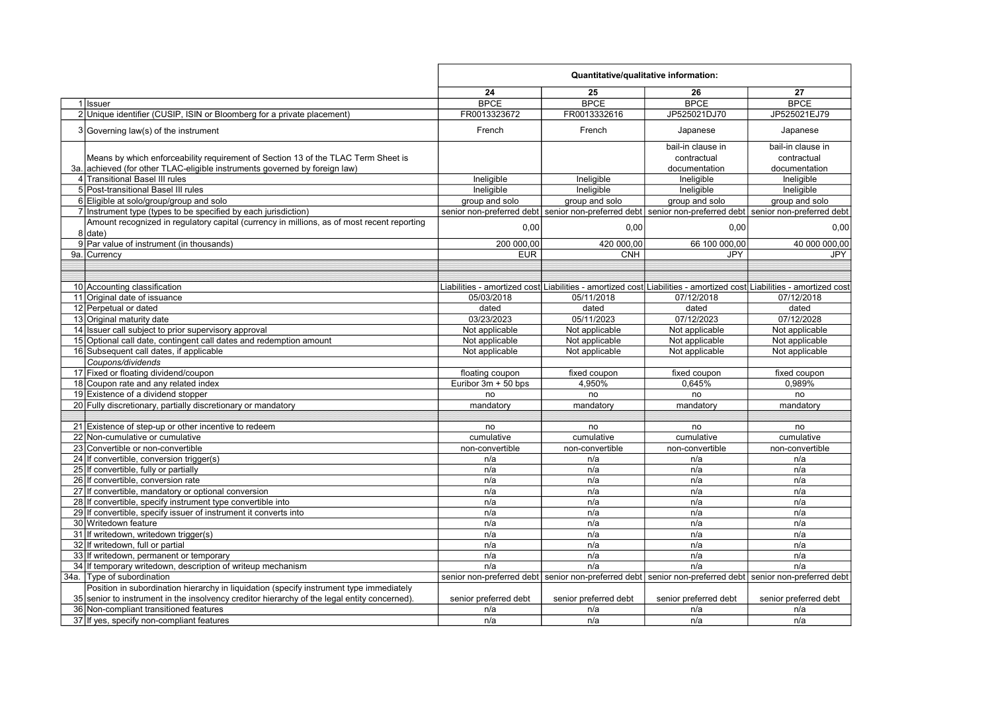|                                                                                              | Quantitative/qualitative information: |                                                     |                                                                                                         |                                                                                                                     |
|----------------------------------------------------------------------------------------------|---------------------------------------|-----------------------------------------------------|---------------------------------------------------------------------------------------------------------|---------------------------------------------------------------------------------------------------------------------|
|                                                                                              | 24                                    | 25                                                  | 26                                                                                                      | 27                                                                                                                  |
| 1 Issuer                                                                                     | <b>BPCE</b>                           | <b>BPCE</b>                                         | <b>BPCE</b>                                                                                             | <b>BPCE</b>                                                                                                         |
| 2 Unique identifier (CUSIP, ISIN or Bloomberg for a private placement)                       | FR0013323672                          | FR0013332616                                        | JP525021DJ70                                                                                            | JP525021EJ79                                                                                                        |
| 3 Governing law(s) of the instrument                                                         | French                                | French                                              | Japanese                                                                                                | Japanese                                                                                                            |
|                                                                                              |                                       |                                                     | bail-in clause in                                                                                       | bail-in clause in                                                                                                   |
| Means by which enforceability requirement of Section 13 of the TLAC Term Sheet is            |                                       |                                                     | contractual                                                                                             | contractual                                                                                                         |
| 3a. achieved (for other TLAC-eligible instruments governed by foreign law)                   |                                       |                                                     | documentation                                                                                           | documentation                                                                                                       |
| 4 Transitional Basel III rules                                                               | Ineligible                            | Ineligible                                          | Ineligible                                                                                              | Ineligible                                                                                                          |
| 5 Post-transitional Basel III rules                                                          | Ineligible                            | Ineligible                                          | Ineligible                                                                                              | Ineligible                                                                                                          |
| 6 Eligible at solo/group/group and solo                                                      | group and solo                        | group and solo                                      | group and solo                                                                                          | group and solo                                                                                                      |
| 7 Instrument type (types to be specified by each jurisdiction)                               |                                       | senior non-preferred debt senior non-preferred debt |                                                                                                         | senior non-preferred debt senior non-preferred debt                                                                 |
| Amount recognized in regulatory capital (currency in millions, as of most recent reporting   |                                       |                                                     |                                                                                                         |                                                                                                                     |
| $8$ date)                                                                                    | 0,00                                  | 0,00                                                | 0,00                                                                                                    | 0,00                                                                                                                |
| 9 Par value of instrument (in thousands)                                                     | 200 000,00                            | 420 000,00                                          | 66 100 000,00                                                                                           | 40 000 000,00                                                                                                       |
| 9a. Currency                                                                                 | <b>EUR</b>                            | <b>CNH</b>                                          | <b>JPY</b>                                                                                              | <b>JPY</b>                                                                                                          |
|                                                                                              |                                       |                                                     |                                                                                                         |                                                                                                                     |
|                                                                                              |                                       |                                                     |                                                                                                         |                                                                                                                     |
| 10 Accounting classification                                                                 |                                       |                                                     |                                                                                                         | Liabilities - amortized cost Liabilities - amortized cost Liabilities - amortized cost Liabilities - amortized cost |
| 11 Original date of issuance                                                                 | 05/03/2018                            | 05/11/2018                                          | 07/12/2018                                                                                              | 07/12/2018                                                                                                          |
| 12 Perpetual or dated                                                                        | dated                                 | dated                                               | dated                                                                                                   | dated                                                                                                               |
| 13 Original maturity date                                                                    | 03/23/2023                            | 05/11/2023                                          | 07/12/2023                                                                                              | 07/12/2028                                                                                                          |
| 14 Issuer call subject to prior supervisory approval                                         | Not applicable                        | Not applicable                                      | Not applicable                                                                                          | Not applicable                                                                                                      |
| 15 Optional call date, contingent call dates and redemption amount                           | Not applicable                        | Not applicable                                      | Not applicable                                                                                          | Not applicable                                                                                                      |
| 16 Subsequent call dates, if applicable                                                      | Not applicable                        | Not applicable                                      | Not applicable                                                                                          | Not applicable                                                                                                      |
| Coupons/dividends                                                                            |                                       |                                                     |                                                                                                         |                                                                                                                     |
| 17 Fixed or floating dividend/coupon                                                         | floating coupon                       | fixed coupon                                        | fixed coupon                                                                                            | fixed coupon                                                                                                        |
| 18 Coupon rate and any related index                                                         | Euribor $3m + 50$ bps                 | 4,950%                                              | 0,645%                                                                                                  | 0,989%                                                                                                              |
| 19 Existence of a dividend stopper                                                           | no                                    | no                                                  | no                                                                                                      | no                                                                                                                  |
| 20 Fully discretionary, partially discretionary or mandatory                                 | mandatory                             | mandatory                                           | mandatory                                                                                               | mandatory                                                                                                           |
|                                                                                              |                                       |                                                     |                                                                                                         |                                                                                                                     |
| 21 Existence of step-up or other incentive to redeem                                         | no                                    | no                                                  | no                                                                                                      | no                                                                                                                  |
| 22 Non-cumulative or cumulative                                                              | cumulative                            | cumulative                                          | cumulative                                                                                              | cumulative                                                                                                          |
| 23 Convertible or non-convertible                                                            | non-convertible                       | non-convertible                                     | non-convertible                                                                                         | non-convertible                                                                                                     |
| 24 If convertible, conversion trigger(s)                                                     | n/a                                   | n/a                                                 | n/a                                                                                                     | n/a                                                                                                                 |
| 25 If convertible, fully or partially                                                        | n/a                                   | n/a                                                 | n/a                                                                                                     | n/a                                                                                                                 |
| 26 If convertible, conversion rate                                                           | n/a                                   | n/a                                                 | n/a                                                                                                     | n/a                                                                                                                 |
| 27 If convertible, mandatory or optional conversion                                          | n/a                                   | n/a                                                 | n/a                                                                                                     | n/a                                                                                                                 |
| 28 If convertible, specify instrument type convertible into                                  | n/a                                   | n/a                                                 | n/a                                                                                                     | n/a                                                                                                                 |
| 29 If convertible, specify issuer of instrument it converts into                             | n/a                                   | n/a                                                 | n/a                                                                                                     | n/a                                                                                                                 |
| 30 Writedown feature                                                                         | n/a                                   | n/a                                                 | n/a                                                                                                     | n/a                                                                                                                 |
| 31 If writedown, writedown trigger(s)                                                        | n/a                                   | n/a                                                 | n/a                                                                                                     | n/a                                                                                                                 |
| 32 If writedown, full or partial                                                             | n/a                                   | n/a                                                 | n/a                                                                                                     | n/a                                                                                                                 |
| 33 If writedown, permanent or temporary                                                      | n/a                                   | n/a                                                 | n/a                                                                                                     | n/a                                                                                                                 |
| 34 If temporary writedown, description of writeup mechanism                                  | n/a                                   | n/a                                                 | n/a                                                                                                     | n/a                                                                                                                 |
| 34a. Type of subordination                                                                   |                                       |                                                     | senior non-preferred debt senior non-preferred debt senior non-preferred debt senior non-preferred debt |                                                                                                                     |
| Position in subordination hierarchy in liquidation (specify instrument type immediately      |                                       |                                                     |                                                                                                         |                                                                                                                     |
| 35 senior to instrument in the insolvency creditor hierarchy of the legal entity concerned). | senior preferred debt                 | senior preferred debt                               | senior preferred debt                                                                                   | senior preferred debt                                                                                               |
| 36 Non-compliant transitioned features                                                       | n/a                                   | n/a                                                 | n/a                                                                                                     | n/a                                                                                                                 |
| 37 If yes, specify non-compliant features                                                    | n/a                                   | n/a                                                 | n/a                                                                                                     | n/a                                                                                                                 |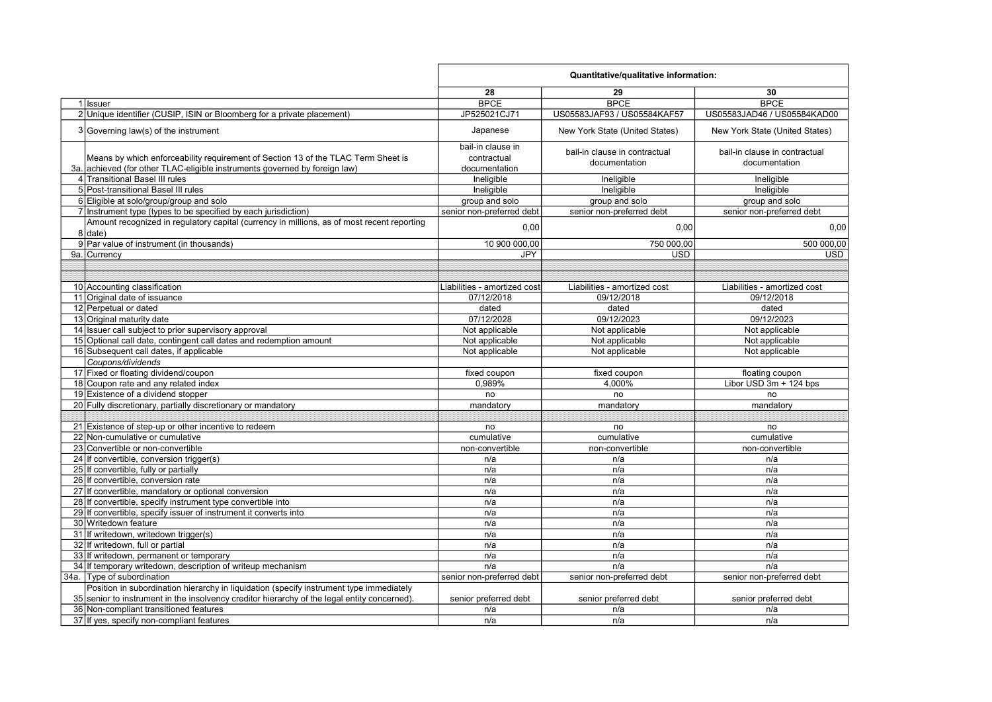|                                                                                                                                                                                         | Quantitative/qualitative information:             |                                                |                                                |  |
|-----------------------------------------------------------------------------------------------------------------------------------------------------------------------------------------|---------------------------------------------------|------------------------------------------------|------------------------------------------------|--|
|                                                                                                                                                                                         | 28                                                | 29                                             | 30                                             |  |
| 1 Issuer                                                                                                                                                                                | <b>BPCE</b>                                       | <b>BPCE</b>                                    | <b>BPCE</b>                                    |  |
| 2 Unique identifier (CUSIP, ISIN or Bloomberg for a private placement)                                                                                                                  | JP525021CJ71                                      | US05583JAF93 / US05584KAF57                    | US05583JAD46 / US05584KAD00                    |  |
| 3 Governing law(s) of the instrument                                                                                                                                                    | Japanese                                          | New York State (United States)                 | New York State (United States)                 |  |
| Means by which enforceability requirement of Section 13 of the TLAC Term Sheet is<br>3a. achieved (for other TLAC-eligible instruments governed by foreign law)                         | bail-in clause in<br>contractual<br>documentation | bail-in clause in contractual<br>documentation | bail-in clause in contractual<br>documentation |  |
| 4 Transitional Basel III rules                                                                                                                                                          | Ineligible                                        |                                                |                                                |  |
| 5 Post-transitional Basel III rules                                                                                                                                                     | Ineligible                                        | Ineligible<br>Ineligible                       | Ineligible<br>Ineligible                       |  |
| 6 Eligible at solo/group/group and solo                                                                                                                                                 | group and solo                                    | group and solo                                 | group and solo                                 |  |
| 7 Instrument type (types to be specified by each jurisdiction)                                                                                                                          | senior non-preferred debt                         | senior non-preferred debt                      | senior non-preferred debt                      |  |
| Amount recognized in regulatory capital (currency in millions, as of most recent reporting                                                                                              |                                                   |                                                |                                                |  |
| $8$ date)                                                                                                                                                                               | 0,00                                              | 0,00                                           | 0,00                                           |  |
| 9 Par value of instrument (in thousands)                                                                                                                                                | 10 900 000,00                                     | 750 000,00                                     | 500 000,00                                     |  |
| 9a. Currency                                                                                                                                                                            | <b>JPY</b>                                        | <b>USD</b>                                     | <b>USD</b>                                     |  |
|                                                                                                                                                                                         |                                                   |                                                |                                                |  |
|                                                                                                                                                                                         |                                                   |                                                |                                                |  |
| 10 Accounting classification                                                                                                                                                            | Liabilities - amortized cost                      | Liabilities - amortized cost                   | Liabilities - amortized cost                   |  |
| 11 Original date of issuance                                                                                                                                                            | 07/12/2018                                        | 09/12/2018                                     | 09/12/2018                                     |  |
| 12 Perpetual or dated                                                                                                                                                                   | dated                                             | dated                                          | dated                                          |  |
| 13 Original maturity date                                                                                                                                                               | 07/12/2028                                        | 09/12/2023                                     | 09/12/2023                                     |  |
| 14 Issuer call subject to prior supervisory approval                                                                                                                                    | Not applicable                                    | Not applicable                                 | Not applicable                                 |  |
| 15 Optional call date, contingent call dates and redemption amount                                                                                                                      | Not applicable                                    | Not applicable                                 | Not applicable                                 |  |
| 16 Subsequent call dates, if applicable                                                                                                                                                 | Not applicable                                    | Not applicable                                 | Not applicable                                 |  |
| Coupons/dividends                                                                                                                                                                       |                                                   |                                                |                                                |  |
| 17 Fixed or floating dividend/coupon                                                                                                                                                    | fixed coupon                                      | fixed coupon                                   | floating coupon                                |  |
| 18 Coupon rate and any related index                                                                                                                                                    | 0,989%                                            | 4,000%                                         | Libor USD 3m + 124 bps                         |  |
| 19 Existence of a dividend stopper                                                                                                                                                      | no                                                | no                                             | no                                             |  |
| 20 Fully discretionary, partially discretionary or mandatory                                                                                                                            | mandatory                                         | mandatory                                      | mandatory                                      |  |
|                                                                                                                                                                                         |                                                   |                                                |                                                |  |
| 21 Existence of step-up or other incentive to redeem                                                                                                                                    | no                                                | no                                             | no                                             |  |
| 22 Non-cumulative or cumulative                                                                                                                                                         | cumulative                                        | cumulative                                     | cumulative                                     |  |
| 23 Convertible or non-convertible                                                                                                                                                       | non-convertible                                   | non-convertible                                | non-convertible                                |  |
| 24 If convertible, conversion trigger(s)                                                                                                                                                | n/a                                               | n/a                                            | n/a                                            |  |
| 25 If convertible, fully or partially                                                                                                                                                   | n/a                                               | n/a                                            | n/a                                            |  |
| 26 If convertible, conversion rate                                                                                                                                                      | n/a                                               | n/a                                            | n/a                                            |  |
| 27 If convertible, mandatory or optional conversion                                                                                                                                     | n/a                                               | n/a                                            | n/a                                            |  |
| 28 If convertible, specify instrument type convertible into                                                                                                                             | n/a                                               | n/a                                            | n/a                                            |  |
| 29 If convertible, specify issuer of instrument it converts into                                                                                                                        | n/a                                               | n/a                                            | n/a                                            |  |
| 30 Writedown feature                                                                                                                                                                    | n/a                                               | n/a                                            | n/a                                            |  |
| 31 If writedown, writedown trigger(s)                                                                                                                                                   | n/a                                               | n/a                                            | n/a                                            |  |
| 32 If writedown, full or partial                                                                                                                                                        | n/a                                               | n/a                                            | n/a                                            |  |
| 33 If writedown, permanent or temporary                                                                                                                                                 | n/a                                               | n/a                                            | n/a                                            |  |
| 34 If temporary writedown, description of writeup mechanism                                                                                                                             | n/a                                               | n/a                                            | n/a                                            |  |
| 34a. Type of subordination                                                                                                                                                              | senior non-preferred debt                         | senior non-preferred debt                      | senior non-preferred debt                      |  |
| Position in subordination hierarchy in liquidation (specify instrument type immediately<br>35 senior to instrument in the insolvency creditor hierarchy of the legal entity concerned). | senior preferred debt                             | senior preferred debt                          | senior preferred debt                          |  |
| 36 Non-compliant transitioned features                                                                                                                                                  | n/a                                               | n/a                                            | n/a                                            |  |
| 37 If yes, specify non-compliant features                                                                                                                                               | n/a                                               | n/a                                            | n/a                                            |  |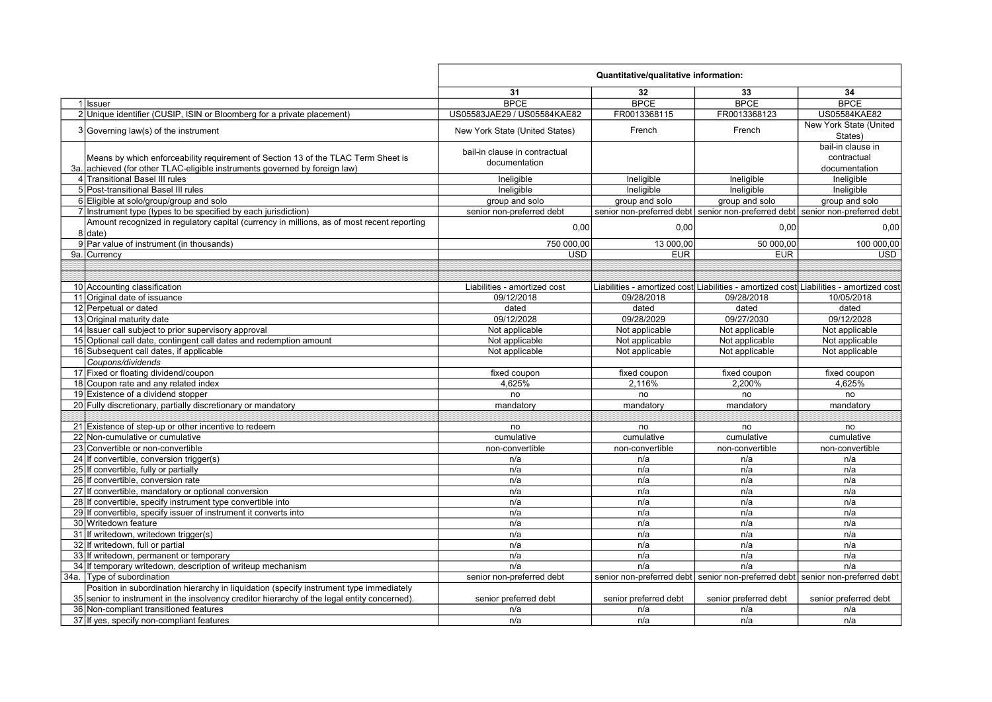|                                                                                              | Quantitative/qualitative information: |                       |                                                                                        |                                   |
|----------------------------------------------------------------------------------------------|---------------------------------------|-----------------------|----------------------------------------------------------------------------------------|-----------------------------------|
|                                                                                              | 31                                    | 32                    | 33                                                                                     | 34                                |
| 1 Issuer                                                                                     | <b>BPCE</b>                           | <b>BPCE</b>           | <b>BPCE</b>                                                                            | <b>BPCE</b>                       |
| 2 Unique identifier (CUSIP, ISIN or Bloomberg for a private placement)                       | US05583JAE29 / US05584KAE82           | FR0013368115          | FR0013368123                                                                           | US05584KAE82                      |
| 3 Governing law(s) of the instrument                                                         | New York State (United States)        | French                | French                                                                                 | New York State (United<br>States) |
|                                                                                              | bail-in clause in contractual         |                       |                                                                                        | bail-in clause in                 |
| Means by which enforceability requirement of Section 13 of the TLAC Term Sheet is            |                                       |                       |                                                                                        | contractual                       |
| achieved (for other TLAC-eligible instruments governed by foreign law)<br>За.                | documentation                         |                       |                                                                                        | documentation                     |
| 4 Transitional Basel III rules                                                               | Ineligible                            | Ineligible            | Ineligible                                                                             | Ineligible                        |
| 5 Post-transitional Basel III rules                                                          | Ineligible                            | Ineligible            | Ineligible                                                                             | Ineligible                        |
| 6 Eligible at solo/group/group and solo                                                      | group and solo                        | group and solo        | group and solo                                                                         | group and solo                    |
| 7 Instrument type (types to be specified by each jurisdiction)                               | senior non-preferred debt             |                       | senior non-preferred debt senior non-preferred debt senior non-preferred debt          |                                   |
| Amount recognized in regulatory capital (currency in millions, as of most recent reporting   |                                       |                       |                                                                                        |                                   |
| 8   date                                                                                     | 0,00                                  | 0,00                  | 0,00                                                                                   | 0,00                              |
| 9 Par value of instrument (in thousands)                                                     | 750 000,00                            | 13 000.00             | 50 000.00                                                                              | 100 000.00                        |
| 9a. Currency                                                                                 | <b>USD</b>                            | <b>EUR</b>            | <b>EUR</b>                                                                             | <b>USD</b>                        |
|                                                                                              |                                       |                       |                                                                                        |                                   |
|                                                                                              |                                       |                       |                                                                                        |                                   |
| 10 Accounting classification                                                                 | Liabilities - amortized cost          |                       | Liabilities - amortized cost Liabilities - amortized cost Liabilities - amortized cost |                                   |
| 11 Original date of issuance                                                                 | 09/12/2018                            | 09/28/2018            | 09/28/2018                                                                             | 10/05/2018                        |
| 12 Perpetual or dated                                                                        | dated                                 | dated                 | dated                                                                                  | dated                             |
| 13 Original maturity date                                                                    | 09/12/2028                            | 09/28/2029            | 09/27/2030                                                                             | 09/12/2028                        |
| 14 Issuer call subject to prior supervisory approval                                         | Not applicable                        | Not applicable        | Not applicable                                                                         | Not applicable                    |
| 15 Optional call date, contingent call dates and redemption amount                           | Not applicable                        | Not applicable        | Not applicable                                                                         | Not applicable                    |
| 16 Subsequent call dates, if applicable                                                      | Not applicable                        | Not applicable        | Not applicable                                                                         | Not applicable                    |
| Coupons/dividends                                                                            |                                       |                       |                                                                                        |                                   |
| 17 Fixed or floating dividend/coupon                                                         | fixed coupon                          | fixed coupon          | fixed coupon                                                                           | fixed coupon                      |
| 18 Coupon rate and any related index                                                         | 4.625%                                | 2.116%                | 2.200%                                                                                 | 4,625%                            |
| 19 Existence of a dividend stopper                                                           | no                                    | no                    | no                                                                                     | no                                |
| 20 Fully discretionary, partially discretionary or mandatory                                 | mandatory                             | mandatory             | mandatory                                                                              | mandatory                         |
|                                                                                              |                                       |                       |                                                                                        |                                   |
| 21 Existence of step-up or other incentive to redeem                                         | no                                    | no                    | no                                                                                     | no                                |
| 22 Non-cumulative or cumulative                                                              | cumulative                            | cumulative            | cumulative                                                                             | cumulative                        |
| 23 Convertible or non-convertible                                                            | non-convertible                       | non-convertible       | non-convertible                                                                        | non-convertible                   |
| 24 If convertible, conversion trigger(s)                                                     | n/a                                   | n/a                   | n/a                                                                                    | n/a                               |
| 25 If convertible, fully or partially                                                        | n/a                                   | n/a                   | n/a                                                                                    | n/a                               |
| 26 If convertible, conversion rate                                                           | n/a                                   | n/a                   | n/a                                                                                    | n/a                               |
| 27 If convertible, mandatory or optional conversion                                          | n/a                                   | n/a                   | n/a                                                                                    | n/a                               |
| 28 If convertible, specify instrument type convertible into                                  | n/a                                   | n/a                   | n/a                                                                                    | n/a                               |
| 29 If convertible, specify issuer of instrument it converts into                             | n/a                                   | n/a                   | n/a                                                                                    | n/a                               |
| 30 Writedown feature                                                                         | n/a                                   | n/a                   | n/a                                                                                    | n/a                               |
| 31 If writedown, writedown trigger(s)                                                        | n/a                                   | n/a                   | n/a                                                                                    | n/a                               |
| 32 If writedown, full or partial                                                             | n/a                                   | n/a                   | n/a                                                                                    | n/a                               |
| 33 If writedown, permanent or temporary                                                      | n/a                                   | n/a                   | n/a                                                                                    | n/a                               |
| 34 If temporary writedown, description of writeup mechanism                                  | n/a                                   | n/a                   | n/a                                                                                    | n/a                               |
| 34a. Type of subordination                                                                   | senior non-preferred debt             |                       | senior non-preferred debt senior non-preferred debt senior non-preferred debt          |                                   |
| Position in subordination hierarchy in liquidation (specify instrument type immediately      |                                       |                       |                                                                                        |                                   |
| 35 senior to instrument in the insolvency creditor hierarchy of the legal entity concerned). | senior preferred debt                 | senior preferred debt | senior preferred debt                                                                  | senior preferred debt             |
| 36 Non-compliant transitioned features                                                       | n/a                                   | n/a                   | n/a                                                                                    | n/a                               |
| 37 If yes, specify non-compliant features                                                    | n/a                                   | n/a                   | n/a                                                                                    | n/a                               |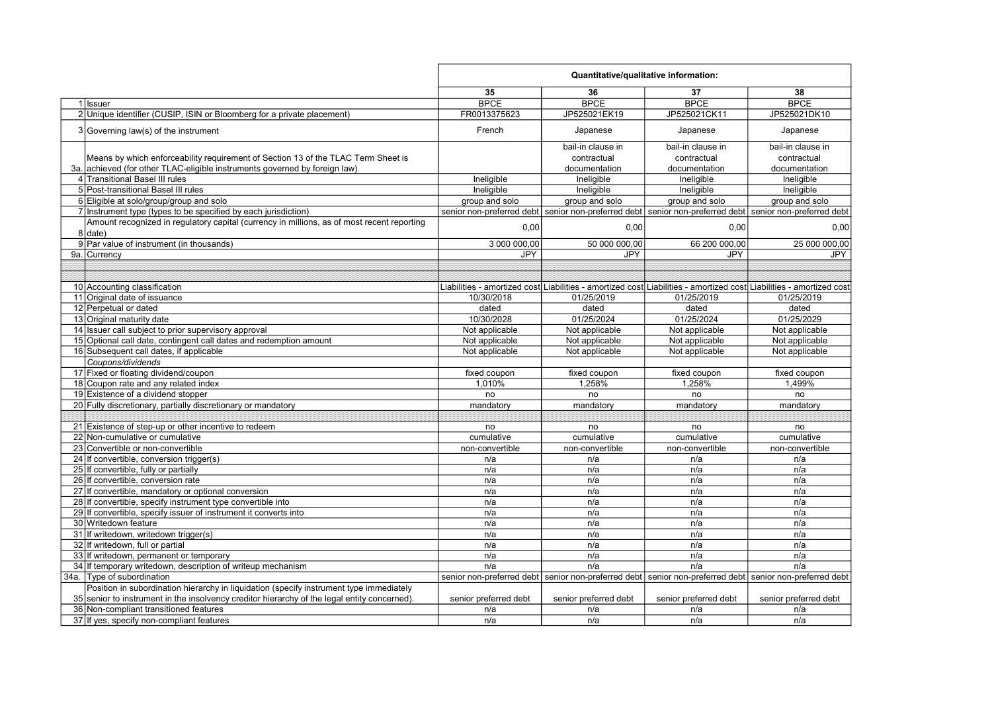|                                                                                                                                                                                         | Quantitative/qualitative information: |                        |                                                                                                         |                                                                                                                     |
|-----------------------------------------------------------------------------------------------------------------------------------------------------------------------------------------|---------------------------------------|------------------------|---------------------------------------------------------------------------------------------------------|---------------------------------------------------------------------------------------------------------------------|
|                                                                                                                                                                                         | 35                                    | 36                     | 37                                                                                                      | 38                                                                                                                  |
| 1 Issuer                                                                                                                                                                                | <b>BPCE</b>                           | <b>BPCE</b>            | <b>BPCE</b>                                                                                             | <b>BPCE</b>                                                                                                         |
| 2 Unique identifier (CUSIP, ISIN or Bloomberg for a private placement)                                                                                                                  | FR0013375623                          | JP525021EK19           | JP525021CK11                                                                                            | JP525021DK10                                                                                                        |
| 3 Governing law(s) of the instrument                                                                                                                                                    | French                                | Japanese               | Japanese                                                                                                | Japanese                                                                                                            |
|                                                                                                                                                                                         |                                       | bail-in clause in      | bail-in clause in                                                                                       | bail-in clause in                                                                                                   |
| Means by which enforceability requirement of Section 13 of the TLAC Term Sheet is                                                                                                       |                                       | contractual            | contractual                                                                                             | contractual                                                                                                         |
| 3a. achieved (for other TLAC-eligible instruments governed by foreign law)                                                                                                              |                                       | documentation          | documentation                                                                                           | documentation                                                                                                       |
| 4 Transitional Basel III rules                                                                                                                                                          | Ineligible                            | Ineligible             | Ineligible                                                                                              | Ineligible                                                                                                          |
| 5 Post-transitional Basel III rules                                                                                                                                                     | Ineligible                            | Ineligible             | Ineligible                                                                                              | Ineligible                                                                                                          |
| 6 Eligible at solo/group/group and solo                                                                                                                                                 | group and solo                        | group and solo         | group and solo                                                                                          | group and solo                                                                                                      |
| 7 Instrument type (types to be specified by each jurisdiction)                                                                                                                          |                                       |                        | senior non-preferred debt senior non-preferred debt senior non-preferred debt senior non-preferred debt |                                                                                                                     |
| Amount recognized in regulatory capital (currency in millions, as of most recent reporting                                                                                              |                                       |                        |                                                                                                         |                                                                                                                     |
| $8$ date)                                                                                                                                                                               | 0,00                                  | 0,00                   | 0,00                                                                                                    | 0,00                                                                                                                |
| 9 Par value of instrument (in thousands)                                                                                                                                                | 3 000 000,00                          | 50 000 000,00          | 66 200 000,00                                                                                           | 25 000 000,00                                                                                                       |
| 9a.lCurrencv                                                                                                                                                                            | <b>JPY</b>                            | <b>JPY</b>             | <b>JPY</b>                                                                                              | <b>JPY</b>                                                                                                          |
|                                                                                                                                                                                         |                                       |                        |                                                                                                         |                                                                                                                     |
|                                                                                                                                                                                         |                                       |                        |                                                                                                         |                                                                                                                     |
| 10 Accounting classification                                                                                                                                                            |                                       |                        |                                                                                                         | Liabilities - amortized cost Liabilities - amortized cost Liabilities - amortized cost Liabilities - amortized cost |
| 11 Original date of issuance                                                                                                                                                            | 10/30/2018                            | 01/25/2019             | 01/25/2019                                                                                              | 01/25/2019                                                                                                          |
| 12 Perpetual or dated                                                                                                                                                                   | dated                                 | dated                  | dated                                                                                                   | dated                                                                                                               |
| 13 Original maturity date                                                                                                                                                               | 10/30/2028                            | 01/25/2024             | 01/25/2024                                                                                              | 01/25/2029                                                                                                          |
| 14 Issuer call subject to prior supervisory approval                                                                                                                                    | Not applicable                        | Not applicable         | Not applicable                                                                                          | Not applicable                                                                                                      |
| 15 Optional call date, contingent call dates and redemption amount                                                                                                                      | Not applicable                        | Not applicable         | Not applicable                                                                                          | Not applicable                                                                                                      |
| 16 Subsequent call dates, if applicable                                                                                                                                                 | Not applicable                        | Not applicable         | Not applicable                                                                                          | Not applicable                                                                                                      |
| Coupons/dividends                                                                                                                                                                       |                                       |                        |                                                                                                         |                                                                                                                     |
| 17 Fixed or floating dividend/coupon                                                                                                                                                    |                                       |                        |                                                                                                         |                                                                                                                     |
| 18 Coupon rate and any related index                                                                                                                                                    | fixed coupon<br>1,010%                | fixed coupon<br>1,258% | fixed coupon<br>1,258%                                                                                  | fixed coupon<br>1,499%                                                                                              |
| 19 Existence of a dividend stopper                                                                                                                                                      | no                                    | no                     | no                                                                                                      | no                                                                                                                  |
| 20 Fully discretionary, partially discretionary or mandatory                                                                                                                            |                                       |                        |                                                                                                         |                                                                                                                     |
|                                                                                                                                                                                         | mandatory                             | mandatory              | mandatory                                                                                               | mandatory                                                                                                           |
| 21 Existence of step-up or other incentive to redeem                                                                                                                                    | no                                    | no                     | no                                                                                                      | no                                                                                                                  |
| 22 Non-cumulative or cumulative                                                                                                                                                         | cumulative                            | cumulative             |                                                                                                         | cumulative                                                                                                          |
| 23 Convertible or non-convertible                                                                                                                                                       |                                       |                        | cumulative                                                                                              |                                                                                                                     |
|                                                                                                                                                                                         | non-convertible                       | non-convertible        | non-convertible                                                                                         | non-convertible                                                                                                     |
| 24 If convertible, conversion trigger(s)                                                                                                                                                | n/a                                   | n/a                    | n/a                                                                                                     | n/a                                                                                                                 |
| 25 If convertible, fully or partially<br>26 If convertible, conversion rate                                                                                                             | n/a                                   | n/a                    | n/a                                                                                                     | n/a<br>n/a                                                                                                          |
|                                                                                                                                                                                         | n/a                                   | n/a                    | n/a                                                                                                     |                                                                                                                     |
| 27 If convertible, mandatory or optional conversion                                                                                                                                     | n/a                                   | n/a                    | n/a                                                                                                     | n/a                                                                                                                 |
| 28 If convertible, specify instrument type convertible into                                                                                                                             | n/a                                   | n/a                    | n/a                                                                                                     | n/a                                                                                                                 |
| 29 If convertible, specify issuer of instrument it converts into                                                                                                                        | n/a                                   | n/a                    | n/a                                                                                                     | n/a                                                                                                                 |
| 30 Writedown feature                                                                                                                                                                    | n/a                                   | n/a                    | n/a                                                                                                     | n/a                                                                                                                 |
| 31 If writedown, writedown trigger(s)                                                                                                                                                   | n/a                                   | n/a                    | n/a                                                                                                     | n/a                                                                                                                 |
| 32 If writedown, full or partial                                                                                                                                                        | n/a                                   | n/a                    | n/a                                                                                                     | n/a                                                                                                                 |
| 33 If writedown, permanent or temporary                                                                                                                                                 | n/a                                   | n/a                    | n/a                                                                                                     | n/a                                                                                                                 |
| 34 If temporary writedown, description of writeup mechanism                                                                                                                             | n/a                                   | n/a                    | n/a                                                                                                     | n/a                                                                                                                 |
| 34a. Type of subordination                                                                                                                                                              |                                       |                        | senior non-preferred debt senior non-preferred debt senior non-preferred debt senior non-preferred debt |                                                                                                                     |
| Position in subordination hierarchy in liquidation (specify instrument type immediately<br>35 senior to instrument in the insolvency creditor hierarchy of the legal entity concerned). | senior preferred debt                 | senior preferred debt  | senior preferred debt                                                                                   | senior preferred debt                                                                                               |
| 36 Non-compliant transitioned features                                                                                                                                                  | n/a                                   | n/a                    | n/a                                                                                                     | n/a                                                                                                                 |
| 37 If yes, specify non-compliant features                                                                                                                                               | n/a                                   | n/a                    | n/a                                                                                                     | n/a                                                                                                                 |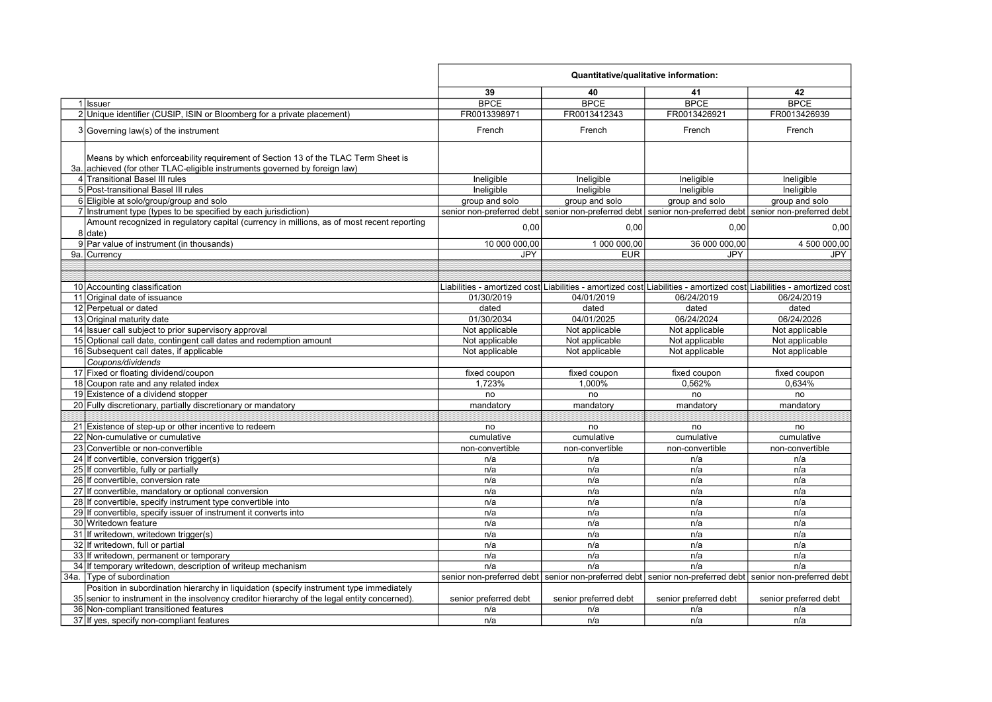|                                                                                                                                                                                         | Quantitative/qualitative information:                                                                               |                       |                                                                                                         |                       |
|-----------------------------------------------------------------------------------------------------------------------------------------------------------------------------------------|---------------------------------------------------------------------------------------------------------------------|-----------------------|---------------------------------------------------------------------------------------------------------|-----------------------|
|                                                                                                                                                                                         | 39                                                                                                                  | 40                    | 41                                                                                                      | 42                    |
| 1 Issuer                                                                                                                                                                                | <b>BPCE</b>                                                                                                         | <b>BPCE</b>           | <b>BPCE</b>                                                                                             | <b>BPCE</b>           |
| 2 Unique identifier (CUSIP, ISIN or Bloomberg for a private placement)                                                                                                                  | FR0013398971                                                                                                        | FR0013412343          | FR0013426921                                                                                            | FR0013426939          |
| 3 Governing law(s) of the instrument                                                                                                                                                    | French                                                                                                              | French                | French                                                                                                  | French                |
|                                                                                                                                                                                         |                                                                                                                     |                       |                                                                                                         |                       |
| Means by which enforceability requirement of Section 13 of the TLAC Term Sheet is<br>3a. achieved (for other TLAC-eligible instruments governed by foreign law)                         |                                                                                                                     |                       |                                                                                                         |                       |
| 4 Transitional Basel III rules                                                                                                                                                          | Ineligible                                                                                                          | Ineligible            | Ineligible                                                                                              | Ineligible            |
| 5 Post-transitional Basel III rules                                                                                                                                                     | Ineligible                                                                                                          | Ineligible            | Ineligible                                                                                              | Ineligible            |
| 6 Eligible at solo/group/group and solo                                                                                                                                                 | group and solo                                                                                                      | group and solo        | group and solo                                                                                          | group and solo        |
| 7 Instrument type (types to be specified by each jurisdiction)                                                                                                                          | senior non-preferred debt senior non-preferred debt senior non-preferred debt senior non-preferred debt             |                       |                                                                                                         |                       |
| Amount recognized in regulatory capital (currency in millions, as of most recent reporting                                                                                              |                                                                                                                     |                       |                                                                                                         |                       |
| $8$ date)                                                                                                                                                                               | 0,00                                                                                                                | 0,00                  | 0,00                                                                                                    | 0,00                  |
| 9 Par value of instrument (in thousands)                                                                                                                                                | 10 000 000.00                                                                                                       | 1 000 000.00          | 36 000 000,00                                                                                           | 4 500 000,00          |
| 9a. Currency                                                                                                                                                                            | <b>JPY</b>                                                                                                          | <b>EUR</b>            | <b>JPY</b>                                                                                              | JPY                   |
|                                                                                                                                                                                         |                                                                                                                     |                       |                                                                                                         |                       |
|                                                                                                                                                                                         |                                                                                                                     |                       |                                                                                                         |                       |
| 10 Accounting classification                                                                                                                                                            | Liabilities - amortized cost Liabilities - amortized cost Liabilities - amortized cost Liabilities - amortized cost |                       |                                                                                                         |                       |
| 11 Original date of issuance                                                                                                                                                            | 01/30/2019                                                                                                          | 04/01/2019            | 06/24/2019                                                                                              | 06/24/2019            |
| 12 Perpetual or dated                                                                                                                                                                   | dated                                                                                                               | dated                 | dated                                                                                                   | dated                 |
| 13 Original maturity date                                                                                                                                                               | 01/30/2034                                                                                                          | 04/01/2025            | 06/24/2024                                                                                              | 06/24/2026            |
| 14 Issuer call subject to prior supervisory approval                                                                                                                                    | Not applicable                                                                                                      | Not applicable        | Not applicable                                                                                          | Not applicable        |
| 15 Optional call date, contingent call dates and redemption amount                                                                                                                      | Not applicable                                                                                                      | Not applicable        | Not applicable                                                                                          | Not applicable        |
| 16 Subsequent call dates, if applicable                                                                                                                                                 | Not applicable                                                                                                      | Not applicable        | Not applicable                                                                                          | Not applicable        |
| Coupons/dividends                                                                                                                                                                       |                                                                                                                     |                       |                                                                                                         |                       |
| 17 Fixed or floating dividend/coupon                                                                                                                                                    | fixed coupon                                                                                                        | fixed coupon          | fixed coupon                                                                                            | fixed coupon          |
| 18 Coupon rate and any related index                                                                                                                                                    | 1,723%                                                                                                              | 1,000%                | 0,562%                                                                                                  | 0,634%                |
| 19 Existence of a dividend stopper                                                                                                                                                      | no                                                                                                                  | no                    | no                                                                                                      | no                    |
| 20 Fully discretionary, partially discretionary or mandatory                                                                                                                            | mandatory                                                                                                           | mandatory             | mandatory                                                                                               | mandatory             |
|                                                                                                                                                                                         |                                                                                                                     |                       |                                                                                                         |                       |
| 21 Existence of step-up or other incentive to redeem                                                                                                                                    | no                                                                                                                  | no                    | no                                                                                                      | no                    |
| 22 Non-cumulative or cumulative                                                                                                                                                         | cumulative                                                                                                          | cumulative            | cumulative                                                                                              | cumulative            |
| 23 Convertible or non-convertible                                                                                                                                                       | non-convertible                                                                                                     | non-convertible       | non-convertible                                                                                         | non-convertible       |
| 24 If convertible, conversion trigger(s)                                                                                                                                                | n/a                                                                                                                 | n/a                   | n/a                                                                                                     | n/a                   |
| 25 If convertible, fully or partially                                                                                                                                                   | n/a                                                                                                                 | n/a                   | n/a                                                                                                     | n/a                   |
| 26 If convertible, conversion rate                                                                                                                                                      | n/a                                                                                                                 | n/a                   | n/a                                                                                                     | n/a                   |
| 27 If convertible, mandatory or optional conversion                                                                                                                                     | n/a                                                                                                                 | n/a                   | n/a                                                                                                     | n/a                   |
| 28 If convertible, specify instrument type convertible into                                                                                                                             | n/a                                                                                                                 | n/a                   | n/a                                                                                                     | n/a                   |
| 29 If convertible, specify issuer of instrument it converts into                                                                                                                        | n/a                                                                                                                 | n/a                   | n/a                                                                                                     | n/a                   |
| 30 Writedown feature                                                                                                                                                                    | n/a                                                                                                                 | n/a                   | n/a                                                                                                     | n/a                   |
| 31 If writedown, writedown trigger(s)                                                                                                                                                   | n/a                                                                                                                 | n/a                   | n/a                                                                                                     | n/a                   |
| 32 If writedown, full or partial                                                                                                                                                        | n/a                                                                                                                 | n/a                   | n/a                                                                                                     | n/a                   |
| 33 If writedown, permanent or temporary                                                                                                                                                 | n/a                                                                                                                 | n/a                   | n/a                                                                                                     | n/a                   |
| 34 If temporary writedown, description of writeup mechanism                                                                                                                             | n/a                                                                                                                 | n/a                   | n/a                                                                                                     | n/a                   |
| 34a. Type of subordination                                                                                                                                                              |                                                                                                                     |                       | senior non-preferred debt senior non-preferred debt senior non-preferred debt senior non-preferred debt |                       |
| Position in subordination hierarchy in liquidation (specify instrument type immediately<br>35 senior to instrument in the insolvency creditor hierarchy of the legal entity concerned). | senior preferred debt                                                                                               | senior preferred debt | senior preferred debt                                                                                   | senior preferred debt |
| 36 Non-compliant transitioned features                                                                                                                                                  | n/a                                                                                                                 | n/a                   | n/a                                                                                                     | n/a                   |
| 37 If yes, specify non-compliant features                                                                                                                                               | n/a                                                                                                                 | n/a                   | n/a                                                                                                     | n/a                   |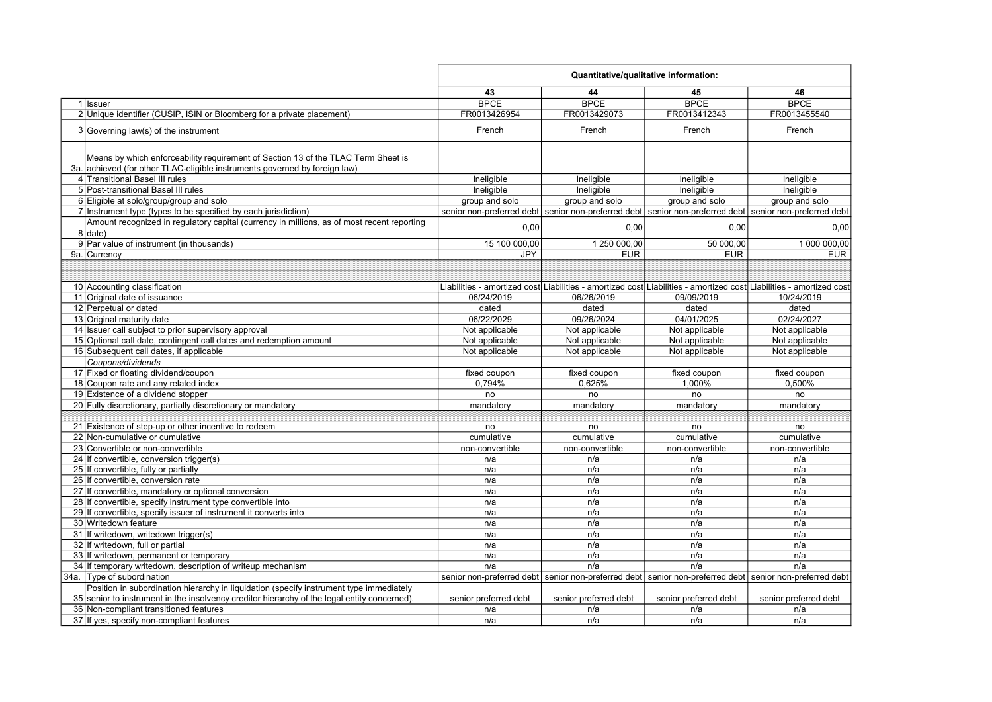|                                                                                              | Quantitative/qualitative information: |                       |                                                                                                                     |                       |
|----------------------------------------------------------------------------------------------|---------------------------------------|-----------------------|---------------------------------------------------------------------------------------------------------------------|-----------------------|
|                                                                                              | 43                                    | 44                    | 45                                                                                                                  | 46                    |
| 1 Issuer                                                                                     | <b>BPCE</b>                           | <b>BPCE</b>           | <b>BPCE</b>                                                                                                         | <b>BPCE</b>           |
| 2 Unique identifier (CUSIP, ISIN or Bloomberg for a private placement)                       | FR0013426954                          | FR0013429073          | FR0013412343                                                                                                        | FR0013455540          |
| $3 Governing law(s)$ of the instrument                                                       | French                                | French                | French                                                                                                              | French                |
|                                                                                              |                                       |                       |                                                                                                                     |                       |
| Means by which enforceability requirement of Section 13 of the TLAC Term Sheet is            |                                       |                       |                                                                                                                     |                       |
| 3a. achieved (for other TLAC-eligible instruments governed by foreign law)                   |                                       |                       |                                                                                                                     |                       |
| 4 Transitional Basel III rules                                                               | Ineligible                            | Ineligible            | Ineligible                                                                                                          | Ineligible            |
| 5 Post-transitional Basel III rules                                                          | Ineligible                            | Ineligible            | Ineligible                                                                                                          | Ineligible            |
| 6 Eligible at solo/group/group and solo                                                      | group and solo                        | group and solo        | group and solo                                                                                                      | group and solo        |
| 7 Instrument type (types to be specified by each jurisdiction)                               |                                       |                       | senior non-preferred debt senior non-preferred debt senior non-preferred debt senior non-preferred debt             |                       |
| Amount recognized in regulatory capital (currency in millions, as of most recent reporting   |                                       |                       |                                                                                                                     |                       |
| 8 date)                                                                                      | 0,00                                  | 0,00                  | 0,00                                                                                                                | 0,00                  |
| 9 Par value of instrument (in thousands)                                                     | 15 100 000,00                         | 1 250 000,00          | 50 000,00                                                                                                           | 1 000 000,00          |
| 9a. Currency                                                                                 | <b>JPY</b>                            | <b>EUR</b>            | <b>EUR</b>                                                                                                          | <b>EUR</b>            |
|                                                                                              |                                       |                       |                                                                                                                     |                       |
|                                                                                              |                                       |                       |                                                                                                                     |                       |
| 10 Accounting classification                                                                 |                                       |                       | Liabilities - amortized cost Liabilities - amortized cost Liabilities - amortized cost Liabilities - amortized cost |                       |
| 11 Original date of issuance                                                                 | 06/24/2019                            | 06/26/2019            | 09/09/2019                                                                                                          | 10/24/2019            |
| 12 Perpetual or dated                                                                        | dated                                 | dated                 | dated                                                                                                               | dated                 |
| 13 Original maturity date                                                                    | 06/22/2029                            | 09/26/2024            | 04/01/2025                                                                                                          | 02/24/2027            |
| 14 Issuer call subject to prior supervisory approval                                         | Not applicable                        | Not applicable        | Not applicable                                                                                                      | Not applicable        |
| 15 Optional call date, contingent call dates and redemption amount                           | Not applicable                        | Not applicable        | Not applicable                                                                                                      | Not applicable        |
| 16 Subsequent call dates, if applicable                                                      | Not applicable                        | Not applicable        | Not applicable                                                                                                      | Not applicable        |
| Coupons/dividends                                                                            |                                       |                       |                                                                                                                     |                       |
| 17 Fixed or floating dividend/coupon                                                         | fixed coupon                          | fixed coupon          | fixed coupon                                                                                                        | fixed coupon          |
| 18 Coupon rate and any related index                                                         | 0,794%                                | 0.625%                | 1.000%                                                                                                              | 0,500%                |
| 19 Existence of a dividend stopper                                                           | no                                    | no                    | no                                                                                                                  | no                    |
| 20 Fully discretionary, partially discretionary or mandatory                                 | mandatory                             | mandatory             | mandatory                                                                                                           | mandatory             |
|                                                                                              |                                       |                       |                                                                                                                     |                       |
| 21 Existence of step-up or other incentive to redeem                                         | no                                    | no                    | no                                                                                                                  | no                    |
| 22 Non-cumulative or cumulative                                                              | cumulative                            | cumulative            | cumulative                                                                                                          | cumulative            |
| 23 Convertible or non-convertible                                                            | non-convertible                       | non-convertible       | non-convertible                                                                                                     | non-convertible       |
| 24 If convertible, conversion trigger(s)                                                     | n/a                                   | n/a                   | n/a                                                                                                                 | n/a                   |
| 25 If convertible, fully or partially                                                        | n/a                                   | n/a                   | n/a                                                                                                                 | n/a                   |
| 26 If convertible, conversion rate                                                           | n/a                                   | n/a                   | n/a                                                                                                                 | n/a                   |
| 27 If convertible, mandatory or optional conversion                                          | n/a                                   | n/a                   | n/a                                                                                                                 | n/a                   |
| 28 If convertible, specify instrument type convertible into                                  | n/a                                   | n/a                   | n/a                                                                                                                 | n/a                   |
| 29 If convertible, specify issuer of instrument it converts into                             | n/a                                   | n/a                   | n/a                                                                                                                 | n/a                   |
| 30 Writedown feature                                                                         | n/a                                   | n/a                   | n/a                                                                                                                 | n/a                   |
| 31 If writedown, writedown trigger(s)                                                        | n/a                                   | n/a                   | n/a                                                                                                                 | n/a                   |
| 32 If writedown, full or partial                                                             | n/a                                   | n/a                   | n/a                                                                                                                 | n/a                   |
| 33 If writedown, permanent or temporary                                                      | n/a                                   | n/a                   | n/a                                                                                                                 | n/a                   |
| 34 If temporary writedown, description of writeup mechanism                                  | n/a                                   | n/a                   | n/a                                                                                                                 | n/a                   |
| 34a. Type of subordination                                                                   |                                       |                       | senior non-preferred debt senior non-preferred debt senior non-preferred debt senior non-preferred debt             |                       |
| Position in subordination hierarchy in liquidation (specify instrument type immediately      |                                       |                       |                                                                                                                     |                       |
| 35 senior to instrument in the insolvency creditor hierarchy of the legal entity concerned). | senior preferred debt                 | senior preferred debt | senior preferred debt                                                                                               | senior preferred debt |
| 36 Non-compliant transitioned features                                                       | n/a                                   | n/a                   | n/a                                                                                                                 | n/a                   |
| 37 If yes, specify non-compliant features                                                    | n/a                                   | n/a                   | n/a                                                                                                                 | n/a                   |